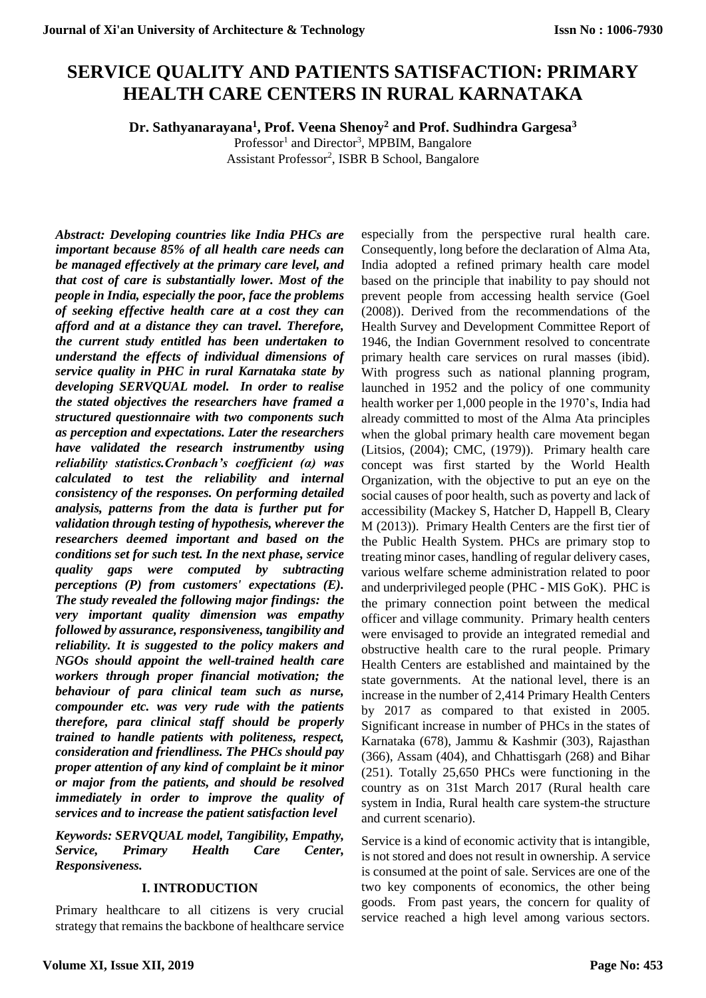# **SERVICE QUALITY AND PATIENTS SATISFACTION: PRIMARY HEALTH CARE CENTERS IN RURAL KARNATAKA**

**Dr. Sathyanarayana<sup>1</sup> , Prof. Veena Shenoy<sup>2</sup> and Prof. Sudhindra Gargesa<sup>3</sup>**

Professor<sup>1</sup> and Director<sup>3</sup>, MPBIM, Bangalore Assistant Professor<sup>2</sup>, ISBR B School, Bangalore

*Abstract: Developing countries like India PHCs are important because 85% of all health care needs can be managed effectively at the primary care level, and that cost of care is substantially lower. Most of the people in India, especially the poor, face the problems of seeking effective health care at a cost they can afford and at a distance they can travel. Therefore, the current study entitled has been undertaken to understand the effects of individual dimensions of service quality in PHC in rural Karnataka state by developing SERVQUAL model. In order to realise the stated objectives the researchers have framed a structured questionnaire with two components such as perception and expectations. Later the researchers have validated the research instrumentby using reliability statistics.Cronbach's coefficient (α) was calculated to test the reliability and internal consistency of the responses. On performing detailed analysis, patterns from the data is further put for validation through testing of hypothesis, wherever the researchers deemed important and based on the conditions set for such test. In the next phase, service quality gaps were computed by subtracting perceptions (P) from customers' expectations (E). The study revealed the following major findings: the very important quality dimension was empathy followed by assurance, responsiveness, tangibility and reliability. It is suggested to the policy makers and NGOs should appoint the well-trained health care workers through proper financial motivation; the behaviour of para clinical team such as nurse, compounder etc. was very rude with the patients therefore, para clinical staff should be properly trained to handle patients with politeness, respect, consideration and friendliness. The PHCs should pay proper attention of any kind of complaint be it minor or major from the patients, and should be resolved immediately in order to improve the quality of services and to increase the patient satisfaction level*

*Keywords: SERVQUAL model, Tangibility, Empathy, Service, Primary Health Care Center, Responsiveness.*

## **I. INTRODUCTION**

Primary healthcare to all citizens is very crucial strategy that remains the backbone of healthcare service

especially from the perspective rural health care. Consequently, long before the declaration of Alma Ata, India adopted a refined primary health care model based on the principle that inability to pay should not prevent people from accessing health service (Goel (2008)). Derived from the recommendations of the Health Survey and Development Committee Report of 1946, the Indian Government resolved to concentrate primary health care services on rural masses (ibid). With progress such as national planning program, launched in 1952 and the policy of one community health worker per 1,000 people in the 1970's, India had already committed to most of the Alma Ata principles when the global primary health care movement began (Litsios, (2004); CMC, (1979)). Primary health care concept was first started by the World Health Organization, with the objective to put an eye on the social causes of poor health, such as poverty and lack of accessibility (Mackey S, Hatcher D, Happell B, Cleary M (2013)). Primary Health Centers are the first tier of the Public Health System. PHCs are primary stop to treating minor cases, handling of regular delivery cases, various welfare scheme administration related to poor and underprivileged people (PHC - MIS GoK). PHC is the primary connection point between the medical officer and village community. Primary health centers were envisaged to provide an integrated remedial and obstructive health care to the rural people. Primary Health Centers are established and maintained by the state governments. At the national level, there is an increase in the number of 2,414 Primary Health Centers by 2017 as compared to that existed in 2005. Significant increase in number of PHCs in the states of Karnataka (678), Jammu & Kashmir (303), Rajasthan (366), Assam (404), and Chhattisgarh (268) and Bihar (251). Totally 25,650 PHCs were functioning in the country as on 31st March 2017 (Rural health care system in India, Rural health care system-the structure and current scenario).

Service is a kind of economic activity that is intangible, is not stored and does not result in ownership. A service is consumed at the point of sale. Services are one of the two key components of economics, the other being goods. From past years, the concern for quality of service reached a high level among various sectors.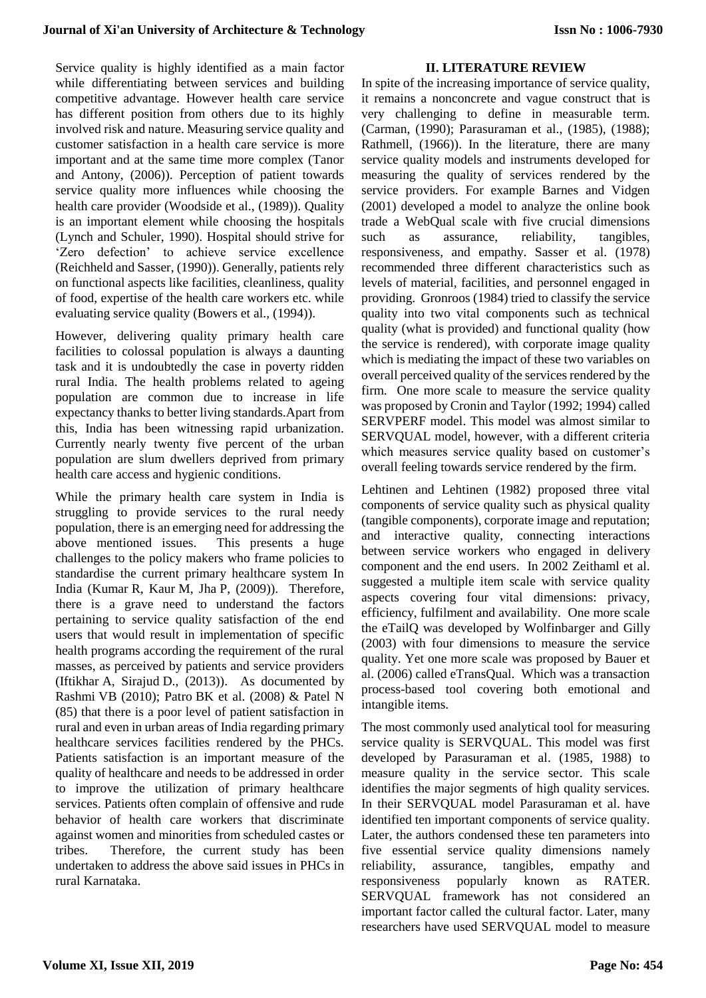Service quality is highly identified as a main factor while differentiating between services and building competitive advantage. However health care service has different position from others due to its highly involved risk and nature. Measuring service quality and customer satisfaction in a health care service is more important and at the same time more complex (Tanor and Antony, (2006)). Perception of patient towards service quality more influences while choosing the health care provider (Woodside et al., (1989)). Quality is an important element while choosing the hospitals (Lynch and Schuler, 1990). Hospital should strive for 'Zero defection' to achieve service excellence (Reichheld and Sasser, (1990)). Generally, patients rely on functional aspects like facilities, cleanliness, quality of food, expertise of the health care workers etc. while evaluating service quality (Bowers et al., (1994)).

However, delivering quality primary health care facilities to colossal population is always a daunting task and it is undoubtedly the case in poverty ridden rural India. The health problems related to ageing population are common due to increase in life expectancy thanks to better living standards.Apart from this, India has been witnessing rapid urbanization. Currently nearly twenty five percent of the urban population are slum dwellers deprived from primary health care access and hygienic conditions.

While the primary health care system in India is struggling to provide services to the rural needy population, there is an emerging need for addressing the above mentioned issues. This presents a huge challenges to the policy makers who frame policies to standardise the current primary healthcare system In India (Kumar R, Kaur M, Jha P, (2009)). Therefore, there is a grave need to understand the factors pertaining to service quality satisfaction of the end users that would result in implementation of specific health programs according the requirement of the rural masses, as perceived by patients and service providers (Iftikhar A, Sirajud D., (2013)). As documented by Rashmi VB (2010); Patro BK et al. (2008) & Patel N (85) that there is a poor level of patient satisfaction in rural and even in urban areas of India regarding primary healthcare services facilities rendered by the PHCs. Patients satisfaction is an important measure of the quality of healthcare and needs to be addressed in order to improve the utilization of primary healthcare services. Patients often complain of offensive and rude behavior of health care workers that discriminate against women and minorities from scheduled castes or tribes. Therefore, the current study has been undertaken to address the above said issues in PHCs in rural Karnataka.

## **II. LITERATURE REVIEW**

In spite of the increasing importance of service quality, it remains a nonconcrete and vague construct that is very challenging to define in measurable term. (Carman, (1990); Parasuraman et al., (1985), (1988); Rathmell, (1966)). In the literature, there are many service quality models and instruments developed for measuring the quality of services rendered by the service providers. For example Barnes and Vidgen (2001) developed a model to analyze the online book trade a WebQual scale with five crucial dimensions such as assurance, reliability, tangibles, responsiveness, and empathy. Sasser et al. (1978) recommended three different characteristics such as levels of material, facilities, and personnel engaged in providing. Gronroos (1984) tried to classify the service quality into two vital components such as technical quality (what is provided) and functional quality (how the service is rendered), with corporate image quality which is mediating the impact of these two variables on overall perceived quality of the services rendered by the firm. One more scale to measure the service quality was proposed by Cronin and Taylor (1992; 1994) called SERVPERF model. This model was almost similar to SERVQUAL model, however, with a different criteria which measures service quality based on customer's overall feeling towards service rendered by the firm.

Lehtinen and Lehtinen (1982) proposed three vital components of service quality such as physical quality (tangible components), corporate image and reputation; and interactive quality, connecting interactions between service workers who engaged in delivery component and the end users. In 2002 Zeithaml et al. suggested a multiple item scale with service quality aspects covering four vital dimensions: privacy, efficiency, fulfilment and availability. One more scale the eTailQ was developed by Wolfinbarger and Gilly (2003) with four dimensions to measure the service quality. Yet one more scale was proposed by Bauer et al. (2006) called eTransQual. Which was a transaction process-based tool covering both emotional and intangible items.

The most commonly used analytical tool for measuring service quality is SERVQUAL. This model was first developed by Parasuraman et al. (1985, 1988) to measure quality in the service sector. This scale identifies the major segments of high quality services. In their SERVQUAL model Parasuraman et al. have identified ten important components of service quality. Later, the authors condensed these ten parameters into five essential service quality dimensions namely reliability, assurance, tangibles, empathy and responsiveness popularly known as RATER. SERVQUAL framework has not considered an important factor called the cultural factor. Later, many researchers have used SERVQUAL model to measure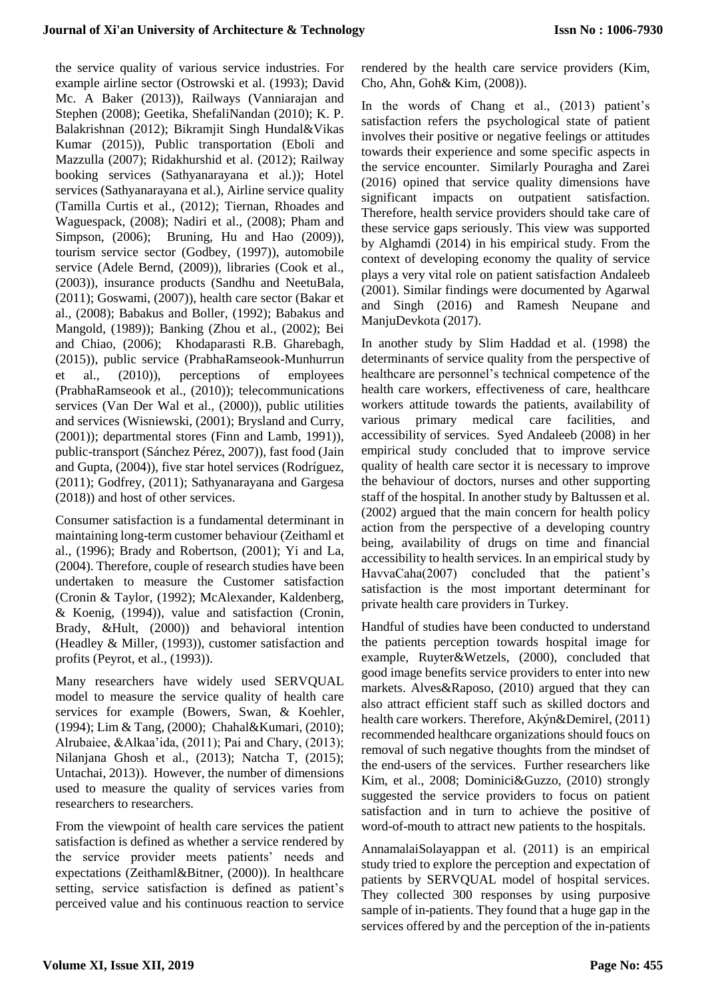the service quality of various service industries. For example airline sector (Ostrowski et al. (1993); David Mc. A Baker (2013)), Railways (Vanniarajan and Stephen (2008); Geetika, ShefaliNandan (2010); K. P. Balakrishnan (2012); Bikramjit Singh Hundal&Vikas Kumar (2015)), Public transportation (Eboli and Mazzulla (2007); Ridakhurshid et al. (2012); Railway booking services (Sathyanarayana et al.)); Hotel services (Sathyanarayana et al.), Airline service quality (Tamilla Curtis et al., (2012); Tiernan, Rhoades and Waguespack, (2008); Nadiri et al., (2008); Pham and Simpson, (2006); Bruning, Hu and Hao (2009)), tourism service sector (Godbey, (1997)), automobile service (Adele Bernd, (2009)), libraries (Cook et al., (2003)), insurance products (Sandhu and NeetuBala, (2011); Goswami, (2007)), health care sector (Bakar et al., (2008); Babakus and Boller, (1992); Babakus and Mangold, (1989)); Banking (Zhou et al., (2002); Bei and Chiao, (2006); Khodaparasti R.B. Gharebagh, (2015)), public service (PrabhaRamseook-Munhurrun et al., (2010)), perceptions of employees (PrabhaRamseook et al., (2010)); telecommunications services (Van Der Wal et al., (2000)), public utilities and services (Wisniewski, (2001); Brysland and Curry, (2001)); departmental stores (Finn and Lamb, 1991)), public-transport (Sánchez Pérez, 2007)), fast food (Jain and Gupta, (2004)), five star hotel services (Rodríguez, (2011); Godfrey, (2011); Sathyanarayana and Gargesa (2018)) and host of other services.

Consumer satisfaction is a fundamental determinant in maintaining long-term customer behaviour (Zeithaml et al., (1996); Brady and Robertson, (2001); Yi and La, (2004). Therefore, couple of research studies have been undertaken to measure the Customer satisfaction (Cronin & Taylor, (1992); McAlexander, Kaldenberg, & Koenig, (1994)), value and satisfaction (Cronin, Brady, &Hult, (2000)) and behavioral intention (Headley & Miller, (1993)), customer satisfaction and profits (Peyrot, et al., (1993)).

Many researchers have widely used SERVQUAL model to measure the service quality of health care services for example (Bowers, Swan, & Koehler, (1994); Lim & Tang, (2000); Chahal&Kumari, (2010); Alrubaiee, &Alkaa'ida, (2011); Pai and Chary, (2013); Nilanjana Ghosh et al., (2013); Natcha T, (2015); Untachai, 2013)). However, the number of dimensions used to measure the quality of services varies from researchers to researchers.

From the viewpoint of health care services the patient satisfaction is defined as whether a service rendered by the service provider meets patients' needs and expectations (Zeithaml&Bitner, (2000)). In healthcare setting, service satisfaction is defined as patient's perceived value and his continuous reaction to service rendered by the health care service providers (Kim, Cho, Ahn, Goh& Kim, (2008)).

In the words of Chang et al., (2013) patient's satisfaction refers the psychological state of patient involves their positive or negative feelings or attitudes towards their experience and some specific aspects in the service encounter. Similarly Pouragha and Zarei (2016) opined that service quality dimensions have significant impacts on outpatient satisfaction. Therefore, health service providers should take care of these service gaps seriously. This view was supported by Alghamdi (2014) in his empirical study. From the context of developing economy the quality of service plays a very vital role on patient satisfaction Andaleeb (2001). Similar findings were documented by Agarwal and Singh (2016) and Ramesh Neupane and ManjuDevkota (2017).

In another study by Slim Haddad et al. (1998) the determinants of service quality from the perspective of healthcare are personnel's technical competence of the health care workers, effectiveness of care, healthcare workers attitude towards the patients, availability of various primary medical care facilities, and accessibility of services. Syed Andaleeb (2008) in her empirical study concluded that to improve service quality of health care sector it is necessary to improve the behaviour of doctors, nurses and other supporting staff of the hospital. In another study by Baltussen et al. (2002) argued that the main concern for health policy action from the perspective of a developing country being, availability of drugs on time and financial accessibility to health services. In an empirical study by HavvaCaha(2007) concluded that the patient's satisfaction is the most important determinant for private health care providers in Turkey.

Handful of studies have been conducted to understand the patients perception towards hospital image for example, Ruyter&Wetzels, (2000), concluded that good image benefits service providers to enter into new markets. Alves&Raposo, (2010) argued that they can also attract efficient staff such as skilled doctors and health care workers. Therefore, Akýn&Demirel, (2011) recommended healthcare organizations should foucs on removal of such negative thoughts from the mindset of the end-users of the services. Further researchers like Kim, et al., 2008; Dominici&Guzzo, (2010) strongly suggested the service providers to focus on patient satisfaction and in turn to achieve the positive of word-of-mouth to attract new patients to the hospitals.

AnnamalaiSolayappan et al. (2011) is an empirical study tried to explore the perception and expectation of patients by SERVQUAL model of hospital services. They collected 300 responses by using purposive sample of in-patients. They found that a huge gap in the services offered by and the perception of the in-patients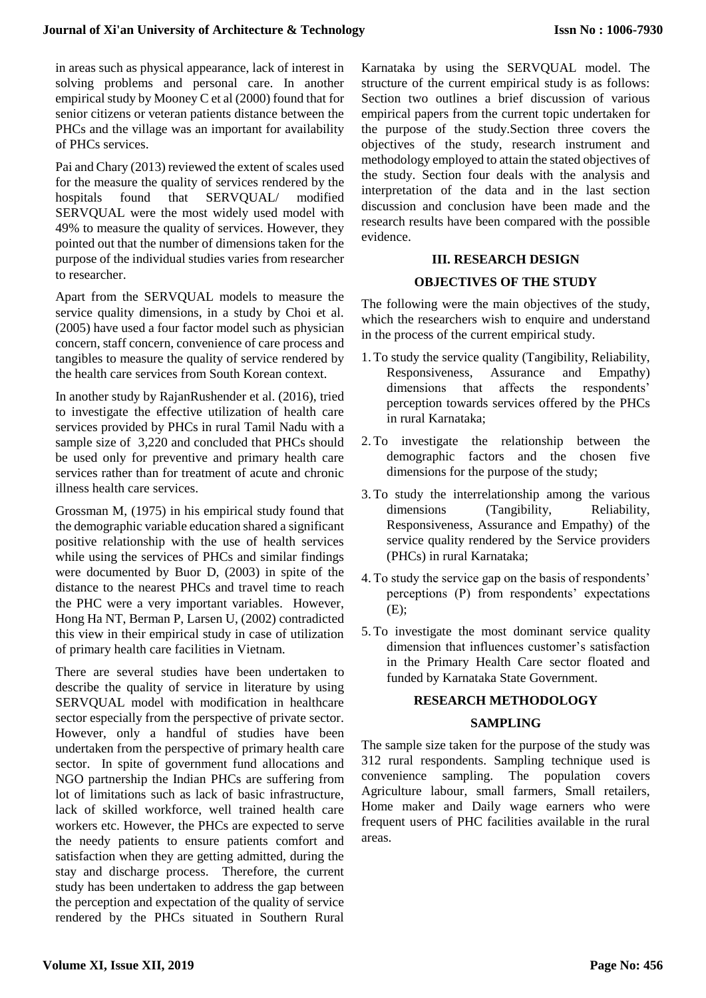in areas such as physical appearance, lack of interest in solving problems and personal care. In another empirical study by Mooney C et al (2000) found that for senior citizens or veteran patients distance between the PHCs and the village was an important for availability of PHCs services.

Pai and Chary (2013) reviewed the extent of scales used for the measure the quality of services rendered by the hospitals found that SERVQUAL/ modified SERVQUAL were the most widely used model with 49% to measure the quality of services. However, they pointed out that the number of dimensions taken for the purpose of the individual studies varies from researcher to researcher.

Apart from the SERVQUAL models to measure the service quality dimensions, in a study by Choi et al. (2005) have used a four factor model such as physician concern, staff concern, convenience of care process and tangibles to measure the quality of service rendered by the health care services from South Korean context.

In another study by RajanRushender et al. (2016), tried to investigate the effective utilization of health care services provided by PHCs in rural Tamil Nadu with a sample size of 3,220 and concluded that PHCs should be used only for preventive and primary health care services rather than for treatment of acute and chronic illness health care services.

Grossman M, (1975) in his empirical study found that the demographic variable education shared a significant positive relationship with the use of health services while using the services of PHCs and similar findings were documented by Buor D, (2003) in spite of the distance to the nearest PHCs and travel time to reach the PHC were a very important variables. However, Hong Ha NT, Berman P, Larsen U, (2002) contradicted this view in their empirical study in case of utilization of primary health care facilities in Vietnam.

There are several studies have been undertaken to describe the quality of service in literature by using SERVQUAL model with modification in healthcare sector especially from the perspective of private sector. However, only a handful of studies have been undertaken from the perspective of primary health care sector. In spite of government fund allocations and NGO partnership the Indian PHCs are suffering from lot of limitations such as lack of basic infrastructure, lack of skilled workforce, well trained health care workers etc. However, the PHCs are expected to serve the needy patients to ensure patients comfort and satisfaction when they are getting admitted, during the stay and discharge process. Therefore, the current study has been undertaken to address the gap between the perception and expectation of the quality of service rendered by the PHCs situated in Southern Rural

Karnataka by using the SERVQUAL model. The structure of the current empirical study is as follows: Section two outlines a brief discussion of various empirical papers from the current topic undertaken for the purpose of the study.Section three covers the objectives of the study, research instrument and methodology employed to attain the stated objectives of the study. Section four deals with the analysis and interpretation of the data and in the last section discussion and conclusion have been made and the research results have been compared with the possible evidence.

## **III. RESEARCH DESIGN**

## **OBJECTIVES OF THE STUDY**

The following were the main objectives of the study, which the researchers wish to enquire and understand in the process of the current empirical study.

- 1. To study the service quality (Tangibility, Reliability, Responsiveness, Assurance and Empathy) dimensions that affects the respondents' perception towards services offered by the PHCs in rural Karnataka;
- 2. To investigate the relationship between the demographic factors and the chosen five dimensions for the purpose of the study;
- 3. To study the interrelationship among the various dimensions (Tangibility, Reliability, Responsiveness, Assurance and Empathy) of the service quality rendered by the Service providers (PHCs) in rural Karnataka;
- 4. To study the service gap on the basis of respondents' perceptions (P) from respondents' expectations (E);
- 5. To investigate the most dominant service quality dimension that influences customer's satisfaction in the Primary Health Care sector floated and funded by Karnataka State Government.

## **RESEARCH METHODOLOGY**

## **SAMPLING**

The sample size taken for the purpose of the study was 312 rural respondents. Sampling technique used is convenience sampling. The population covers Agriculture labour, small farmers, Small retailers, Home maker and Daily wage earners who were frequent users of PHC facilities available in the rural areas.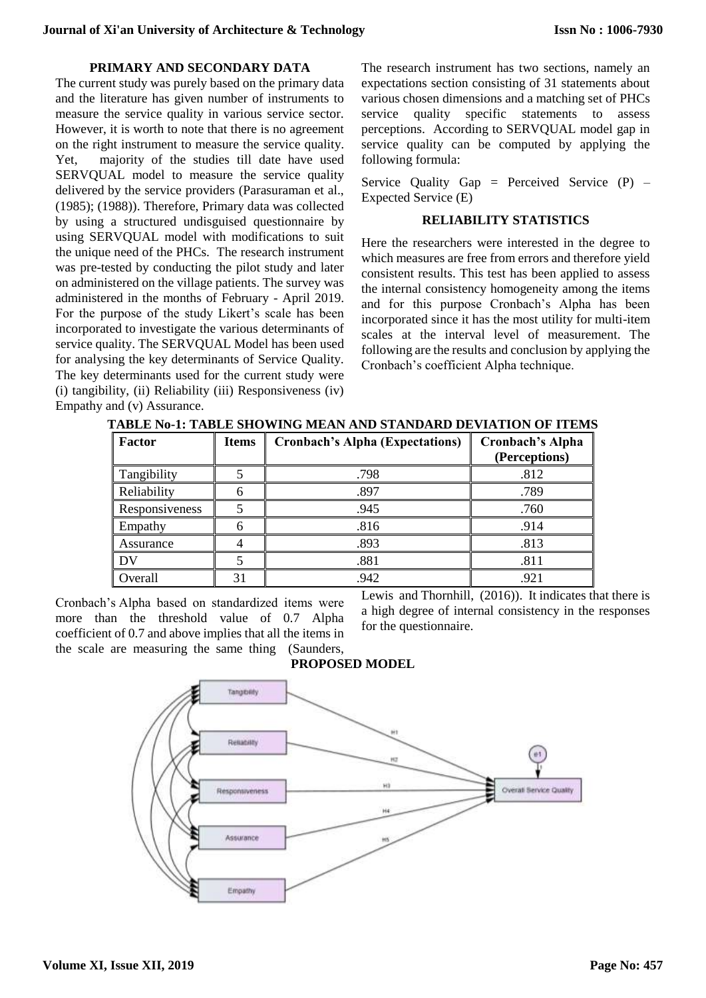#### **PRIMARY AND SECONDARY DATA**

The current study was purely based on the primary data and the literature has given number of instruments to measure the service quality in various service sector. However, it is worth to note that there is no agreement on the right instrument to measure the service quality. Yet, majority of the studies till date have used SERVQUAL model to measure the service quality delivered by the service providers (Parasuraman et al., (1985); (1988)). Therefore, Primary data was collected by using a structured undisguised questionnaire by using SERVQUAL model with modifications to suit the unique need of the PHCs. The research instrument was pre-tested by conducting the pilot study and later on administered on the village patients. The survey was administered in the months of February - April 2019. For the purpose of the study Likert's scale has been incorporated to investigate the various determinants of service quality. The SERVQUAL Model has been used for analysing the key determinants of Service Quality. The key determinants used for the current study were (i) tangibility, (ii) Reliability (iii) Responsiveness (iv) Empathy and (v) Assurance.

The research instrument has two sections, namely an expectations section consisting of 31 statements about various chosen dimensions and a matching set of PHCs service quality specific statements to assess perceptions. According to SERVQUAL model gap in service quality can be computed by applying the following formula:

Service Quality Gap = Perceived Service  $(P)$  – Expected Service (E)

## **RELIABILITY STATISTICS**

Here the researchers were interested in the degree to which measures are free from errors and therefore yield consistent results. This test has been applied to assess the internal consistency homogeneity among the items and for this purpose Cronbach's Alpha has been incorporated since it has the most utility for multi-item scales at the interval level of measurement. The following are the results and conclusion by applying the Cronbach's coefficient Alpha technique.

| TABLE Nº-1: TABLE SHOWING MEAN AND STANDARD DEVIATION OF ITEMS |  |  |  |  |
|----------------------------------------------------------------|--|--|--|--|
|                                                                |  |  |  |  |

| Factor         | <b>Items</b> | <b>Cronbach's Alpha (Expectations)</b> | <b>Cronbach's Alpha</b><br>(Perceptions) |
|----------------|--------------|----------------------------------------|------------------------------------------|
| Tangibility    |              | .798                                   | .812                                     |
| Reliability    |              | .897                                   | .789                                     |
| Responsiveness |              | .945                                   | .760                                     |
| Empathy        | h            | .816                                   | .914                                     |
| Assurance      |              | .893                                   | .813                                     |
|                |              | .881                                   | .811                                     |
| )verall        | 31           | .942                                   | .921                                     |

Cronbach's Alpha based on standardized items were more than the threshold value of 0.7 Alpha coefficient of 0.7 and above implies that all the items in the scale are measuring the same thing (Saunders,

Lewis and Thornhill, (2016)). It indicates that there is a high degree of internal consistency in the responses for the questionnaire.



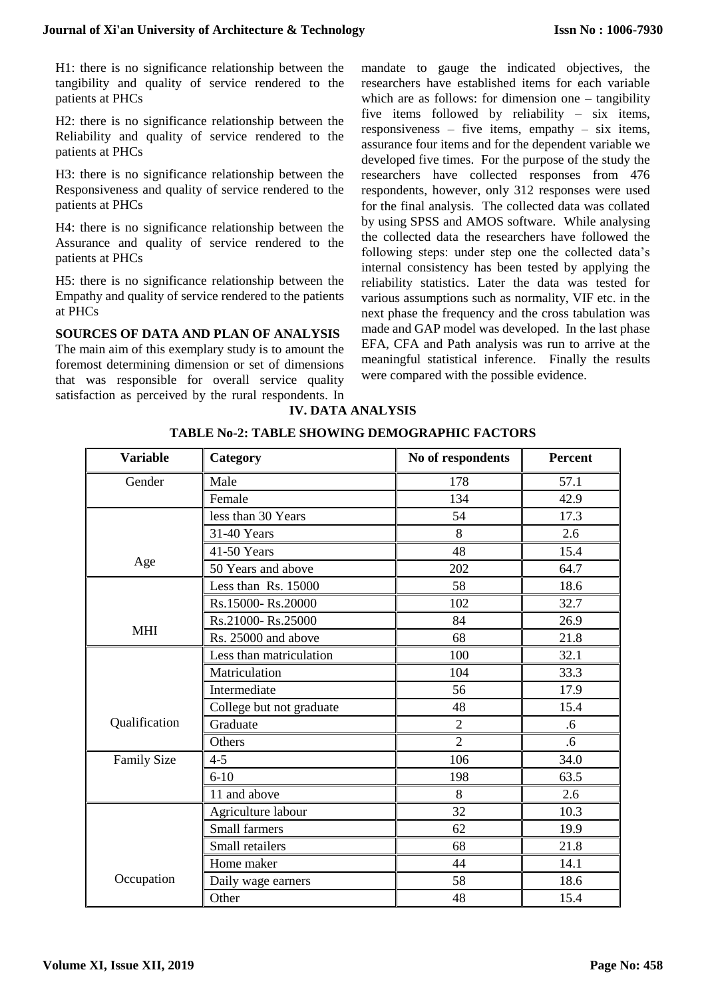H1: there is no significance relationship between the tangibility and quality of service rendered to the patients at PHCs

H2: there is no significance relationship between the Reliability and quality of service rendered to the patients at PHCs

H3: there is no significance relationship between the Responsiveness and quality of service rendered to the patients at PHCs

H4: there is no significance relationship between the Assurance and quality of service rendered to the patients at PHCs

H5: there is no significance relationship between the Empathy and quality of service rendered to the patients at PHCs

**SOURCES OF DATA AND PLAN OF ANALYSIS** The main aim of this exemplary study is to amount the foremost determining dimension or set of dimensions that was responsible for overall service quality satisfaction as perceived by the rural respondents. In mandate to gauge the indicated objectives, the researchers have established items for each variable which are as follows: for dimension one – tangibility five items followed by reliability – six items, responsiveness – five items, empathy – six items, assurance four items and for the dependent variable we developed five times. For the purpose of the study the researchers have collected responses from 476 respondents, however, only 312 responses were used for the final analysis. The collected data was collated by using SPSS and AMOS software. While analysing the collected data the researchers have followed the following steps: under step one the collected data's internal consistency has been tested by applying the reliability statistics. Later the data was tested for various assumptions such as normality, VIF etc. in the next phase the frequency and the cross tabulation was made and GAP model was developed. In the last phase EFA, CFA and Path analysis was run to arrive at the meaningful statistical inference. Finally the results were compared with the possible evidence.

**IV. DATA ANALYSIS**

|  |  | <b>TABLE No-2: TABLE SHOWING DEMOGRAPHIC FACTORS</b> |  |
|--|--|------------------------------------------------------|--|
|--|--|------------------------------------------------------|--|

| <b>Variable</b>    | Category                 | No of respondents | Percent |
|--------------------|--------------------------|-------------------|---------|
| Gender             | Male                     | 178               | 57.1    |
|                    | Female                   | 134               | 42.9    |
|                    | less than 30 Years       | 54                | 17.3    |
|                    | 31-40 Years              | 8                 | 2.6     |
|                    | 41-50 Years              | 48                | 15.4    |
| Age                | 50 Years and above       | 202               | 64.7    |
|                    | Less than Rs. 15000      | 58                | 18.6    |
|                    | Rs.15000-Rs.20000        | 102               | 32.7    |
|                    | Rs.21000-Rs.25000        | 84                | 26.9    |
| <b>MHI</b>         | Rs. 25000 and above      | 68                | 21.8    |
|                    | Less than matriculation  | 100               | 32.1    |
|                    | Matriculation            | 104               | 33.3    |
|                    | Intermediate             | 56                | 17.9    |
|                    | College but not graduate | 48                | 15.4    |
| Qualification      | Graduate                 | $\overline{2}$    | .6      |
|                    | Others                   | $\overline{2}$    | .6      |
| <b>Family Size</b> | $4 - 5$                  | 106               | 34.0    |
|                    | $6 - 10$                 | 198               | 63.5    |
|                    | 11 and above             | 8                 | 2.6     |
|                    | Agriculture labour       | 32                | 10.3    |
|                    | Small farmers            | 62                | 19.9    |
|                    | Small retailers          | 68                | 21.8    |
|                    | Home maker               | 44                | 14.1    |
| Occupation         | Daily wage earners       | 58                | 18.6    |
|                    | Other                    | 48                | 15.4    |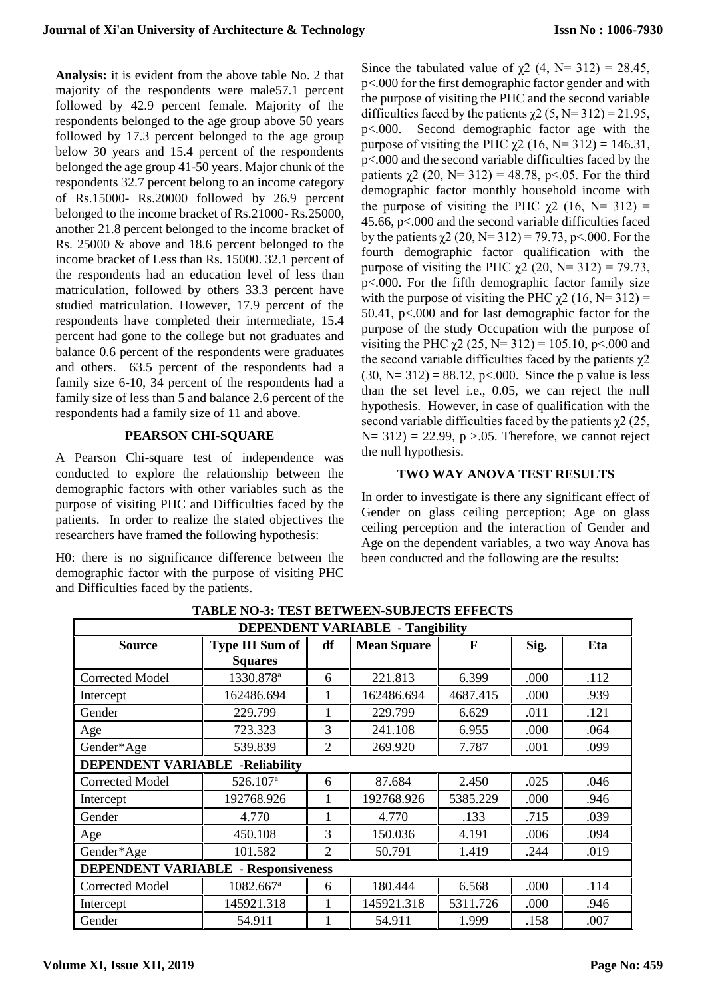**Analysis:** it is evident from the above table No. 2 that majority of the respondents were male57.1 percent followed by 42.9 percent female. Majority of the respondents belonged to the age group above 50 years followed by 17.3 percent belonged to the age group below 30 years and 15.4 percent of the respondents belonged the age group 41-50 years. Major chunk of the respondents 32.7 percent belong to an income category of Rs.15000- Rs.20000 followed by 26.9 percent belonged to the income bracket of Rs.21000- Rs.25000, another 21.8 percent belonged to the income bracket of Rs. 25000 & above and 18.6 percent belonged to the income bracket of Less than Rs. 15000. 32.1 percent of the respondents had an education level of less than matriculation, followed by others 33.3 percent have studied matriculation. However, 17.9 percent of the respondents have completed their intermediate, 15.4 percent had gone to the college but not graduates and balance 0.6 percent of the respondents were graduates and others. 63.5 percent of the respondents had a family size 6-10, 34 percent of the respondents had a family size of less than 5 and balance 2.6 percent of the respondents had a family size of 11 and above.

## **PEARSON CHI-SQUARE**

A Pearson Chi-square test of independence was conducted to explore the relationship between the demographic factors with other variables such as the purpose of visiting PHC and Difficulties faced by the patients. In order to realize the stated objectives the researchers have framed the following hypothesis:

H0: there is no significance difference between the demographic factor with the purpose of visiting PHC and Difficulties faced by the patients.

Since the tabulated value of  $\chi$ 2 (4, N= 312) = 28.45, p<.000 for the first demographic factor gender and with the purpose of visiting the PHC and the second variable difficulties faced by the patients  $\chi$ 2 (5, N= 312) = 21.95, p<.000. Second demographic factor age with the purpose of visiting the PHC  $\chi$ 2 (16, N= 312) = 146.31, p<.000 and the second variable difficulties faced by the patients  $\chi$ 2 (20, N= 312) = 48.78, p < 05. For the third demographic factor monthly household income with the purpose of visiting the PHC  $\chi$ 2 (16, N= 312) = 45.66, p<.000 and the second variable difficulties faced by the patients  $\chi$ 2 (20, N= 312) = 79.73, p < 000. For the fourth demographic factor qualification with the purpose of visiting the PHC  $χ$ 2 (20, N= 312) = 79.73, p<.000. For the fifth demographic factor family size with the purpose of visiting the PHC  $\chi$ 2 (16, N= 312) = 50.41, p<.000 and for last demographic factor for the purpose of the study Occupation with the purpose of visiting the PHC  $χ2(25, N=312) = 105.10, p<.000$  and the second variable difficulties faced by the patients  $\chi$ 2  $(30, N= 312) = 88.12$ , p<.000. Since the p value is less than the set level i.e., 0.05, we can reject the null hypothesis. However, in case of qualification with the second variable difficulties faced by the patients  $\chi$ 2 (25,  $N= 312$ ) = 22.99, p >.05. Therefore, we cannot reject the null hypothesis.

## **TWO WAY ANOVA TEST RESULTS**

In order to investigate is there any significant effect of Gender on glass ceiling perception; Age on glass ceiling perception and the interaction of Gender and Age on the dependent variables, a two way Anova has been conducted and the following are the results:

| <b>DEPENDENT VARIABLE - Tangibility</b> |                        |                |                    |             |      |      |  |  |  |
|-----------------------------------------|------------------------|----------------|--------------------|-------------|------|------|--|--|--|
| <b>Source</b>                           | <b>Type III Sum of</b> | df             | <b>Mean Square</b> | $\mathbf F$ | Sig. | Eta  |  |  |  |
|                                         | <b>Squares</b>         |                |                    |             |      |      |  |  |  |
| <b>Corrected Model</b>                  | 1330.878 <sup>a</sup>  | 6              | 221.813            | 6.399       | .000 | .112 |  |  |  |
| Intercept                               | 162486.694             |                | 162486.694         | 4687.415    | .000 | .939 |  |  |  |
| Gender                                  | 229.799                |                | 229.799            | 6.629       | .011 | .121 |  |  |  |
| Age                                     | 723.323                | 3              | 241.108            | 6.955       | .000 | .064 |  |  |  |
| Gender*Age                              | 539.839                | 2              | 269.920            | 7.787       | .001 | .099 |  |  |  |
| <b>DEPENDENT VARIABLE -Reliability</b>  |                        |                |                    |             |      |      |  |  |  |
| <b>Corrected Model</b>                  | 526.107 <sup>a</sup>   | 6              | 87.684             | 2.450       | .025 | .046 |  |  |  |
| Intercept                               | 192768.926             |                | 192768.926         | 5385.229    | .000 | .946 |  |  |  |
| Gender                                  | 4.770                  |                | 4.770              | .133        | .715 | .039 |  |  |  |
| Age                                     | 450.108                | 3              | 150.036            | 4.191       | .006 | .094 |  |  |  |
| Gender*Age                              | 101.582                | $\overline{2}$ | 50.791             | 1.419       | .244 | .019 |  |  |  |
| DEPENDENT VARIABLE<br>- Responsiveness  |                        |                |                    |             |      |      |  |  |  |
| <b>Corrected Model</b>                  | 1082.667 <sup>a</sup>  | 6              | 180.444            | 6.568       | .000 | .114 |  |  |  |
| Intercept                               | 145921.318             |                | 145921.318         | 5311.726    | .000 | .946 |  |  |  |
| Gender                                  | 54.911                 |                | 54.911             | 1.999       | .158 | .007 |  |  |  |

**TABLE NO-3: TEST BETWEEN-SUBJECTS EFFECTS**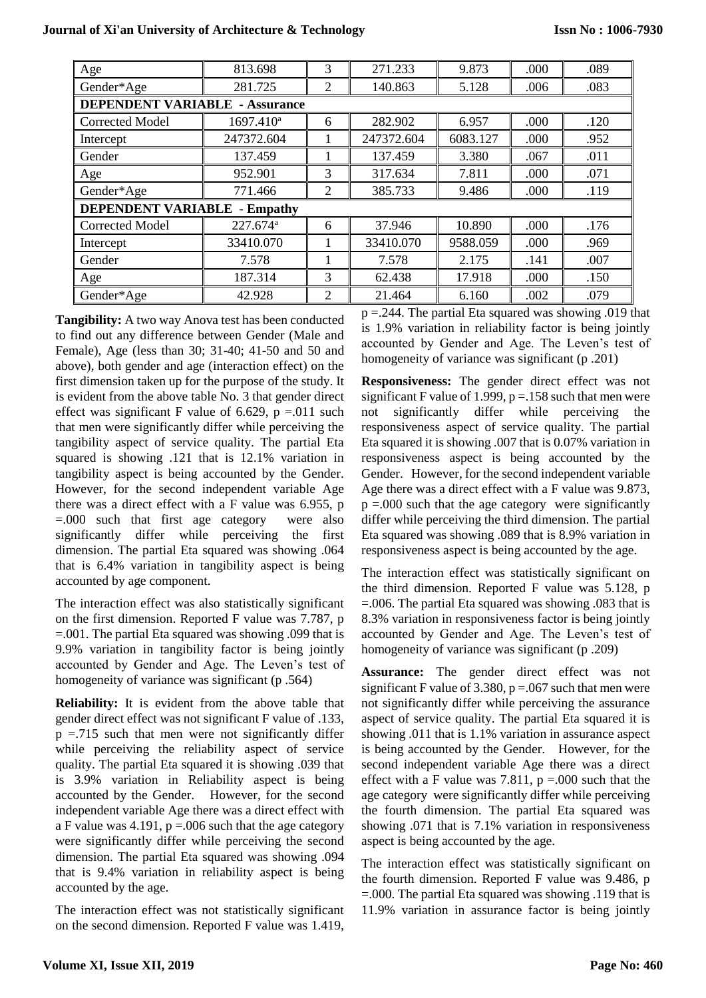| Age                                 | 813.698                | 3              | 271.233    | 9.873    | .000 | .089 |
|-------------------------------------|------------------------|----------------|------------|----------|------|------|
| Gender*Age                          | 281.725                | 2              | 140.863    | 5.128    | .006 | .083 |
| DEPENDENT VARIABLE                  | - Assurance            |                |            |          |      |      |
| <b>Corrected Model</b>              | $1697.410^a$           | 6              | 282.902    | 6.957    | .000 | .120 |
| Intercept                           | 247372.604             |                | 247372.604 | 6083.127 | .000 | .952 |
| Gender                              | 137.459                |                | 137.459    | 3.380    | .067 | .011 |
| Age                                 | 952.901                | 3              | 317.634    | 7.811    | .000 | .071 |
| Gender*Age                          | 771.466                | 2              | 385.733    | 9.486    | .000 | .119 |
| <b>DEPENDENT VARIABLE - Empathy</b> |                        |                |            |          |      |      |
| <b>Corrected Model</b>              | $227.674$ <sup>a</sup> | 6              | 37.946     | 10.890   | .000 | .176 |
| Intercept                           | 33410.070              |                | 33410.070  | 9588.059 | .000 | .969 |
| Gender                              | 7.578                  |                | 7.578      | 2.175    | .141 | .007 |
| Age                                 | 187.314                | 3              | 62.438     | 17.918   | .000 | .150 |
| Gender*Age                          | 42.928                 | $\overline{2}$ | 21.464     | 6.160    | .002 | .079 |

**Tangibility:** A two way Anova test has been conducted to find out any difference between Gender (Male and Female), Age (less than 30; 31-40; 41-50 and 50 and above), both gender and age (interaction effect) on the first dimension taken up for the purpose of the study. It is evident from the above table No. 3 that gender direct effect was significant F value of 6.629,  $p = 0.011$  such that men were significantly differ while perceiving the tangibility aspect of service quality. The partial Eta squared is showing .121 that is 12.1% variation in tangibility aspect is being accounted by the Gender. However, for the second independent variable Age there was a direct effect with a F value was 6.955, p =.000 such that first age category were also significantly differ while perceiving the first dimension. The partial Eta squared was showing .064 that is 6.4% variation in tangibility aspect is being accounted by age component.

The interaction effect was also statistically significant on the first dimension. Reported F value was 7.787, p =.001. The partial Eta squared was showing .099 that is 9.9% variation in tangibility factor is being jointly accounted by Gender and Age. The Leven's test of homogeneity of variance was significant (p .564)

**Reliability:** It is evident from the above table that gender direct effect was not significant F value of .133,  $p = 715$  such that men were not significantly differ while perceiving the reliability aspect of service quality. The partial Eta squared it is showing .039 that is 3.9% variation in Reliability aspect is being accounted by the Gender. However, for the second independent variable Age there was a direct effect with a F value was 4.191,  $p = 0.006$  such that the age category were significantly differ while perceiving the second dimension. The partial Eta squared was showing .094 that is 9.4% variation in reliability aspect is being accounted by the age.

The interaction effect was not statistically significant on the second dimension. Reported F value was 1.419,  $p = 244$ . The partial Eta squared was showing .019 that is 1.9% variation in reliability factor is being jointly accounted by Gender and Age. The Leven's test of homogeneity of variance was significant (p .201)

**Responsiveness:** The gender direct effect was not significant F value of 1.999,  $p = 158$  such that men were not significantly differ while perceiving the responsiveness aspect of service quality. The partial Eta squared it is showing .007 that is 0.07% variation in responsiveness aspect is being accounted by the Gender. However, for the second independent variable Age there was a direct effect with a F value was 9.873,  $p = 0.00$  such that the age category were significantly differ while perceiving the third dimension. The partial Eta squared was showing .089 that is 8.9% variation in responsiveness aspect is being accounted by the age.

The interaction effect was statistically significant on the third dimension. Reported F value was 5.128, p =.006. The partial Eta squared was showing .083 that is 8.3% variation in responsiveness factor is being jointly accounted by Gender and Age. The Leven's test of homogeneity of variance was significant (p .209)

**Assurance:** The gender direct effect was not significant F value of 3.380,  $p = 0.067$  such that men were not significantly differ while perceiving the assurance aspect of service quality. The partial Eta squared it is showing .011 that is 1.1% variation in assurance aspect is being accounted by the Gender. However, for the second independent variable Age there was a direct effect with a F value was 7.811,  $p = 0.000$  such that the age category were significantly differ while perceiving the fourth dimension. The partial Eta squared was showing .071 that is 7.1% variation in responsiveness aspect is being accounted by the age.

The interaction effect was statistically significant on the fourth dimension. Reported F value was 9.486, p =.000. The partial Eta squared was showing .119 that is 11.9% variation in assurance factor is being jointly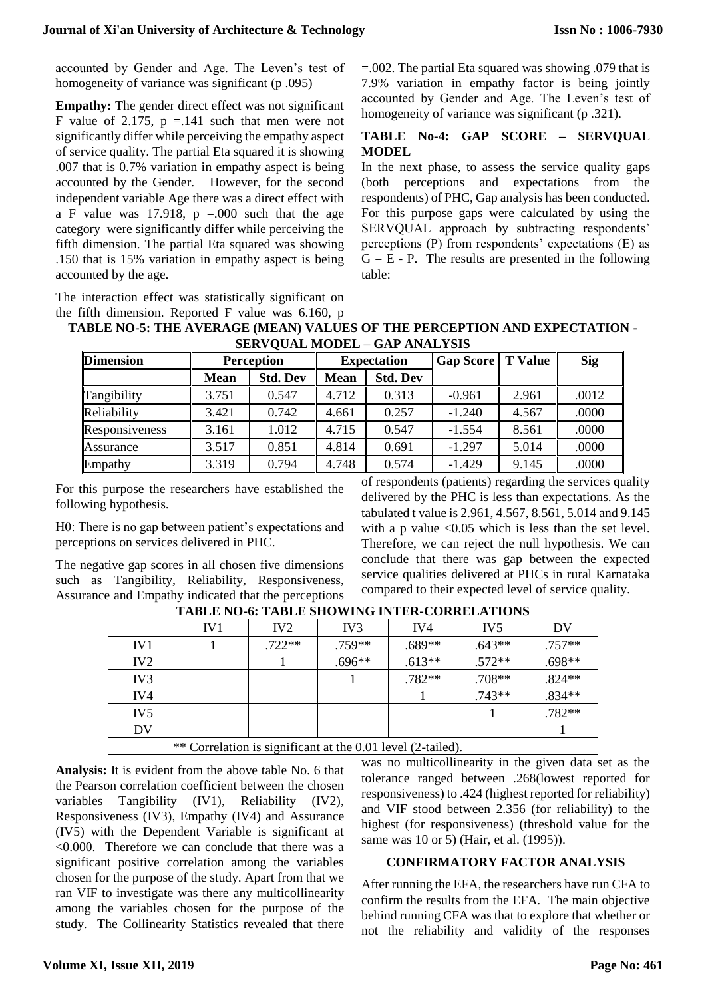accounted by Gender and Age. The Leven's test of homogeneity of variance was significant (p .095)

**Empathy:** The gender direct effect was not significant F value of 2.175,  $p = 141$  such that men were not significantly differ while perceiving the empathy aspect of service quality. The partial Eta squared it is showing .007 that is 0.7% variation in empathy aspect is being accounted by the Gender. However, for the second independent variable Age there was a direct effect with a F value was 17.918,  $p = .000$  such that the age category were significantly differ while perceiving the fifth dimension. The partial Eta squared was showing .150 that is 15% variation in empathy aspect is being accounted by the age.

The interaction effect was statistically significant on the fifth dimension. Reported F value was 6.160, p =.002. The partial Eta squared was showing .079 that is 7.9% variation in empathy factor is being jointly accounted by Gender and Age. The Leven's test of homogeneity of variance was significant (p.321).

## **TABLE No-4: GAP SCORE – SERVQUAL MODEL**

In the next phase, to assess the service quality gaps (both perceptions and expectations from the respondents) of PHC, Gap analysis has been conducted. For this purpose gaps were calculated by using the SERVQUAL approach by subtracting respondents' perceptions (P) from respondents' expectations (E) as  $G = E - P$ . The results are presented in the following table:

| $\mu$ into unicasion. Reported F value was 0.100, $\mu$                   |  |
|---------------------------------------------------------------------------|--|
| TABLE NO-5: THE AVERAGE (MEAN) VALUES OF THE PERCEPTION AND EXPECTATION - |  |
| <b>SERVOUAL MODEL - GAP ANALYSIS</b>                                      |  |

| <u>DER ( O CITE INTO D'ELI</u><br>0.111 11 111 111 1111 |             |                                         |             |                          |          |            |       |  |  |
|---------------------------------------------------------|-------------|-----------------------------------------|-------------|--------------------------|----------|------------|-------|--|--|
| <b>Dimension</b>                                        |             | <b>Perception</b><br><b>Expectation</b> |             | <b>Gap Score</b> T Value |          | <b>Sig</b> |       |  |  |
|                                                         | <b>Mean</b> | <b>Std. Dev</b>                         | <b>Mean</b> | <b>Std. Dev</b>          |          |            |       |  |  |
| Tangibility                                             | 3.751       | 0.547                                   | 4.712       | 0.313                    | $-0.961$ | 2.961      | .0012 |  |  |
| Reliability                                             | 3.421       | 0.742                                   | 4.661       | 0.257                    | $-1.240$ | 4.567      | .0000 |  |  |
| Responsiveness                                          | 3.161       | 1.012                                   | 4.715       | 0.547                    | $-1.554$ | 8.561      | .0000 |  |  |
| Assurance                                               | 3.517       | 0.851                                   | 4.814       | 0.691                    | $-1.297$ | 5.014      | .0000 |  |  |
| Empathy                                                 | 3.319       | 0.794                                   | 4.748       | 0.574                    | $-1.429$ | 9.145      | .0000 |  |  |

For this purpose the researchers have established the following hypothesis.

H0: There is no gap between patient's expectations and perceptions on services delivered in PHC.

The negative gap scores in all chosen five dimensions such as Tangibility, Reliability, Responsiveness, Assurance and Empathy indicated that the perceptions of respondents (patients) regarding the services quality delivered by the PHC is less than expectations. As the tabulated t value is 2.961, 4.567, 8.561, 5.014 and 9.145 with a p value  $\langle 0.05 \rangle$  which is less than the set level. Therefore, we can reject the null hypothesis. We can conclude that there was gap between the expected service qualities delivered at PHCs in rural Karnataka compared to their expected level of service quality.

|                 | 111011110 01 1110111 0110 01110 1111111 COMMITTING 10       |                 |                 |          |                 |          |  |
|-----------------|-------------------------------------------------------------|-----------------|-----------------|----------|-----------------|----------|--|
|                 | IV1                                                         | IV <sub>2</sub> | IV <sub>3</sub> | IV4      | IV <sub>5</sub> | DV       |  |
| IV <sub>1</sub> |                                                             | $.722**$        | $.759**$        | $.689**$ | $.643**$        | $.757**$ |  |
| IV2             |                                                             |                 | $.696**$        | $.613**$ | $.572**$        | .698**   |  |
| IV <sub>3</sub> |                                                             |                 |                 | $.782**$ | $.708**$        | $.824**$ |  |
| IV4             |                                                             |                 |                 |          | $.743**$        | $.834**$ |  |
| IV <sub>5</sub> |                                                             |                 |                 |          |                 |          |  |
| DV              |                                                             |                 |                 |          |                 |          |  |
|                 | ** Correlation is significant at the 0.01 level (2-tailed). |                 |                 |          |                 |          |  |

**TABLE NO-6: TABLE SHOWING INTER-CORRELATIONS**

**Analysis:** It is evident from the above table No. 6 that the Pearson correlation coefficient between the chosen variables Tangibility (IV1), Reliability (IV2), Responsiveness (IV3), Empathy (IV4) and Assurance (IV5) with the Dependent Variable is significant at <0.000. Therefore we can conclude that there was a significant positive correlation among the variables chosen for the purpose of the study. Apart from that we ran VIF to investigate was there any multicollinearity among the variables chosen for the purpose of the study. The Collinearity Statistics revealed that there

was no multicollinearity in the given data set as the tolerance ranged between .268(lowest reported for responsiveness) to .424 (highest reported for reliability) and VIF stood between 2.356 (for reliability) to the highest (for responsiveness) (threshold value for the same was 10 or 5) (Hair, et al. (1995)).

## **CONFIRMATORY FACTOR ANALYSIS**

After running the EFA, the researchers have run CFA to confirm the results from the EFA. The main objective behind running CFA was that to explore that whether or not the reliability and validity of the responses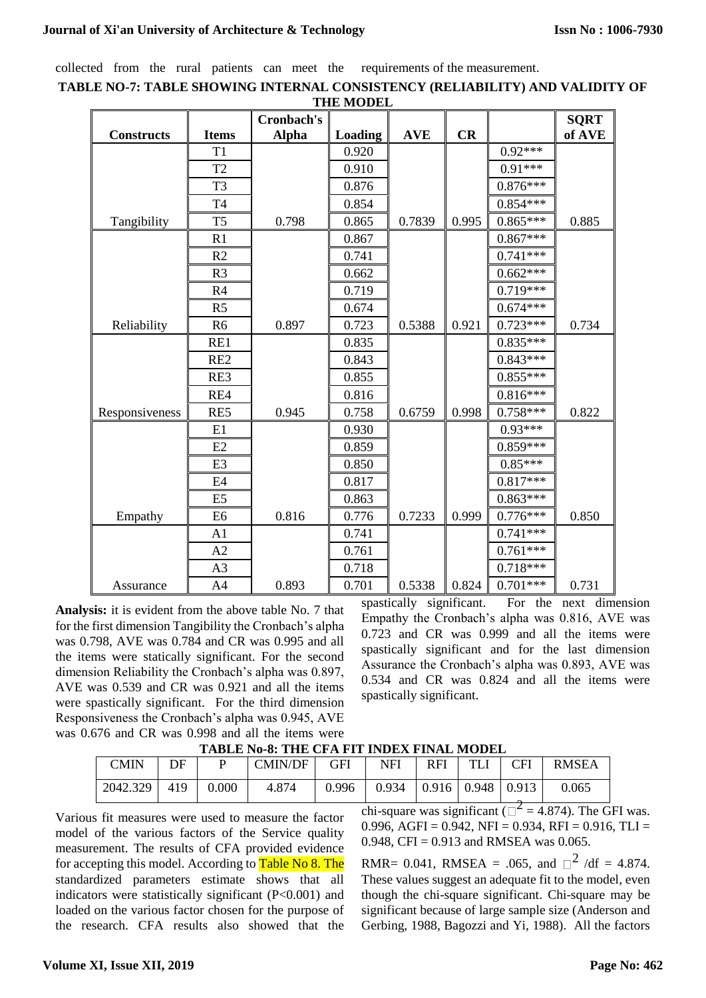collected from the rural patients can meet the requirements of the measurement.

|                   |                 |              | THE MODEL      |            |       |            |             |
|-------------------|-----------------|--------------|----------------|------------|-------|------------|-------------|
|                   |                 | Cronbach's   |                |            |       |            | <b>SQRT</b> |
| <b>Constructs</b> | <b>Items</b>    | <b>Alpha</b> | <b>Loading</b> | <b>AVE</b> | CR    |            | of AVE      |
|                   | T1              |              | 0.920          |            |       | $0.92***$  |             |
|                   | T <sub>2</sub>  |              | 0.910          |            |       | $0.91***$  |             |
|                   | T <sub>3</sub>  |              | 0.876          |            |       | $0.876***$ |             |
|                   | T <sub>4</sub>  |              | 0.854          |            |       | $0.854***$ |             |
| Tangibility       | T <sub>5</sub>  | 0.798        | 0.865          | 0.7839     | 0.995 | $0.865***$ | 0.885       |
|                   | R <sub>1</sub>  |              | 0.867          |            |       | $0.867***$ |             |
|                   | R <sub>2</sub>  |              | 0.741          |            |       | $0.741***$ |             |
|                   | R <sub>3</sub>  |              | 0.662          |            |       | $0.662***$ |             |
|                   | R <sub>4</sub>  |              | 0.719          |            |       | $0.719***$ |             |
|                   | R <sub>5</sub>  |              | 0.674          |            |       | $0.674***$ |             |
| Reliability       | R <sub>6</sub>  | 0.897        | 0.723          | 0.5388     | 0.921 | $0.723***$ | 0.734       |
|                   | RE1             |              | 0.835          |            |       | $0.835***$ |             |
|                   | RE <sub>2</sub> |              | 0.843          |            |       | $0.843***$ |             |
|                   | RE3             |              | 0.855          |            |       | $0.855***$ |             |
|                   | RE4             |              | 0.816          |            |       | $0.816***$ |             |
| Responsiveness    | RE5             | 0.945        | 0.758          | 0.6759     | 0.998 | $0.758***$ | 0.822       |
|                   | E1              |              | 0.930          |            |       | $0.93***$  |             |
|                   | E2              |              | 0.859          |            |       | $0.859***$ |             |
|                   | E <sub>3</sub>  |              | 0.850          |            |       | $0.85***$  |             |
|                   | E4              |              | 0.817          |            |       | $0.817***$ |             |
|                   | E <sub>5</sub>  |              | 0.863          |            |       | $0.863***$ |             |
| Empathy           | E <sub>6</sub>  | 0.816        | 0.776          | 0.7233     | 0.999 | $0.776***$ | 0.850       |
|                   | A <sub>1</sub>  |              | 0.741          |            |       | $0.741***$ |             |
|                   | A2              |              | 0.761          |            |       | $0.761***$ |             |
|                   | A <sub>3</sub>  |              | 0.718          |            |       | $0.718***$ |             |
| Assurance         | A <sub>4</sub>  | 0.893        | 0.701          | 0.5338     | 0.824 | $0.701***$ | 0.731       |

**TABLE NO-7: TABLE SHOWING INTERNAL CONSISTENCY (RELIABILITY) AND VALIDITY OF THE MODEL**

**Analysis:** it is evident from the above table No. 7 that for the first dimension Tangibility the Cronbach's alpha was 0.798, AVE was 0.784 and CR was 0.995 and all the items were statically significant. For the second dimension Reliability the Cronbach's alpha was 0.897, AVE was 0.539 and CR was 0.921 and all the items were spastically significant. For the third dimension Responsiveness the Cronbach's alpha was 0.945, AVE was 0.676 and CR was 0.998 and all the items were spastically significant. For the next dimension Empathy the Cronbach's alpha was 0.816, AVE was 0.723 and CR was 0.999 and all the items were spastically significant and for the last dimension Assurance the Cronbach's alpha was 0.893, AVE was 0.534 and CR was 0.824 and all the items were spastically significant.

| CMIN     | DE  |       | <b>CMIN/DF</b> | GFI   | <b>NFI</b>                            | <b>RFI</b> | TLI | <b>CFI</b> | <b>RMSEA</b> |
|----------|-----|-------|----------------|-------|---------------------------------------|------------|-----|------------|--------------|
| 2042.329 | 419 | 0.000 | 4.874          | 0.996 | $0.934 \pm 0.916 \pm 0.948 \pm 0.913$ |            |     |            | 0.065        |

**TABLE No-8: THE CFA FIT INDEX FINAL MODEL**

Various fit measures were used to measure the factor model of the various factors of the Service quality measurement. The results of CFA provided evidence for accepting this model. According to Table No 8. The standardized parameters estimate shows that all indicators were statistically significant (P<0.001) and loaded on the various factor chosen for the purpose of the research. CFA results also showed that the chi-square was significant ( $\Box^2$  = 4.874). The GFI was. 0.996, AGFI = 0.942, NFI = 0.934, RFI = 0.916, TLI = 0.948, CFI =  $0.913$  and RMSEA was 0.065.

RMR= 0.041, RMSEA = .065, and  $\Box^2$  /df = 4.874. These values suggest an adequate fit to the model, even though the chi-square significant. Chi-square may be significant because of large sample size (Anderson and Gerbing, 1988, Bagozzi and Yi, 1988). All the factors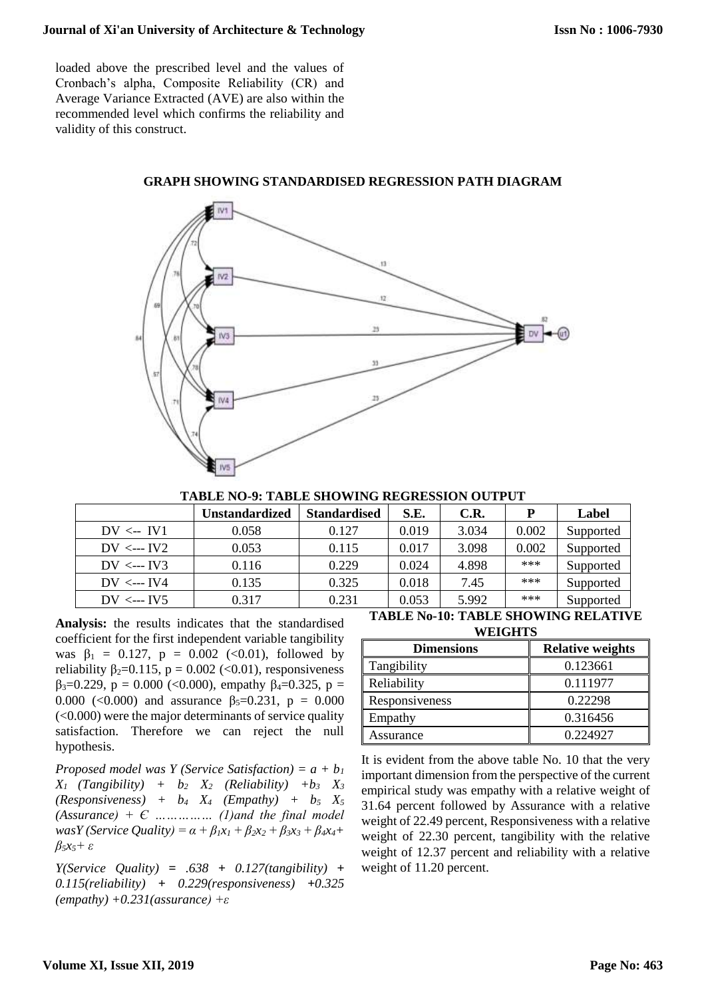loaded above the prescribed level and the values of Cronbach's alpha, Composite Reliability (CR) and Average Variance Extracted (AVE) are also within the recommended level which confirms the reliability and validity of this construct.



## **GRAPH SHOWING STANDARDISED REGRESSION PATH DIAGRAM**

**TABLE NO-9: TABLE SHOWING REGRESSION OUTPUT**

|                     | <b>Unstandardized</b> | <b>Standardised</b> | S.E.  | C.R.  | P     | Label     |
|---------------------|-----------------------|---------------------|-------|-------|-------|-----------|
| $DV \leftarrow IV1$ | 0.058                 | 0.127               | 0.019 | 3.034 | 0.002 | Supported |
| $DV \leftarrow V2$  | 0.053                 | 0.115               | 0.017 | 3.098 | 0.002 | Supported |
| $DV \leftarrow V3$  | 0.116                 | 0.229               | 0.024 | 4.898 | ***   | Supported |
| $DV \leftarrow V4$  | 0.135                 | 0.325               | 0.018 | 7.45  | ***   | Supported |
| $DV \leftarrow V5$  | 0.317                 | 0.231               | 0.053 | 5.992 | ***   | Supported |

**Analysis:** the results indicates that the standardised coefficient for the first independent variable tangibility was  $\beta_1 = 0.127$ ,  $p = 0.002$  (<0.01), followed by reliability  $\beta_2=0.115$ ,  $p = 0.002$  (<0.01), responsiveness  $β<sub>3</sub>=0.229$ , p = 0.000 (<0.000), empathy  $β<sub>4</sub>=0.325$ , p = 0.000 (<0.000) and assurance  $\beta_5 = 0.231$ ,  $p = 0.000$ (<0.000) were the major determinants of service quality satisfaction. Therefore we can reject the null hypothesis.

*Proposed model was Y (Service Satisfaction) = a + b<sup>1</sup>*  $X_1$  (Tangibility) +  $b_2$   $X_2$  (Reliability) + $b_3$   $X_3$  $(Responsiveness)$  +  $b_4$   $X_4$  *(Empathy)* +  $b_5$   $X_5$ *(Assurance) + Є …………… (1)and the final model wasY* (*Service Quality*) =  $\alpha + \beta_1 x_1 + \beta_2 x_2 + \beta_3 x_3 + \beta_4 x_4 + \beta_5 x_4 + \beta_6 x_5 + \beta_7 x_6 + \beta_8 x_7 + \beta_9 x_8 + \beta_9 x_9 + \beta_9 x_0 + \beta_9 x_1 + \beta_9 x_1 + \beta_9 x_2 + \beta_9 x_3 + \beta_9 x_4 + \beta_9 x_1 + \beta_9 x_2 + \beta_9 x_3 + \beta_9 x_4 + \beta_9 x_1 + \beta_9 x_2 + \beta_9 x_3 + \beta_0$ *β5x5+ ε*

*Y(Service Quality) = .638 + 0.127(tangibility) + 0.115(reliability) + 0.229(responsiveness) +0.325 (empathy) +0.231(assurance) +ε*

**TABLE No-10: TABLE SHOWING RELATIVE WEIGHTS**

| ,,,,,,,,,,        |                         |
|-------------------|-------------------------|
| <b>Dimensions</b> | <b>Relative weights</b> |
| Tangibility       | 0.123661                |
| Reliability       | 0.111977                |
| Responsiveness    | 0.22298                 |
| Empathy           | 0.316456                |
| Assurance         | 0.224927                |

It is evident from the above table No. 10 that the very important dimension from the perspective of the current empirical study was empathy with a relative weight of 31.64 percent followed by Assurance with a relative weight of 22.49 percent, Responsiveness with a relative weight of 22.30 percent, tangibility with the relative weight of 12.37 percent and reliability with a relative weight of 11.20 percent.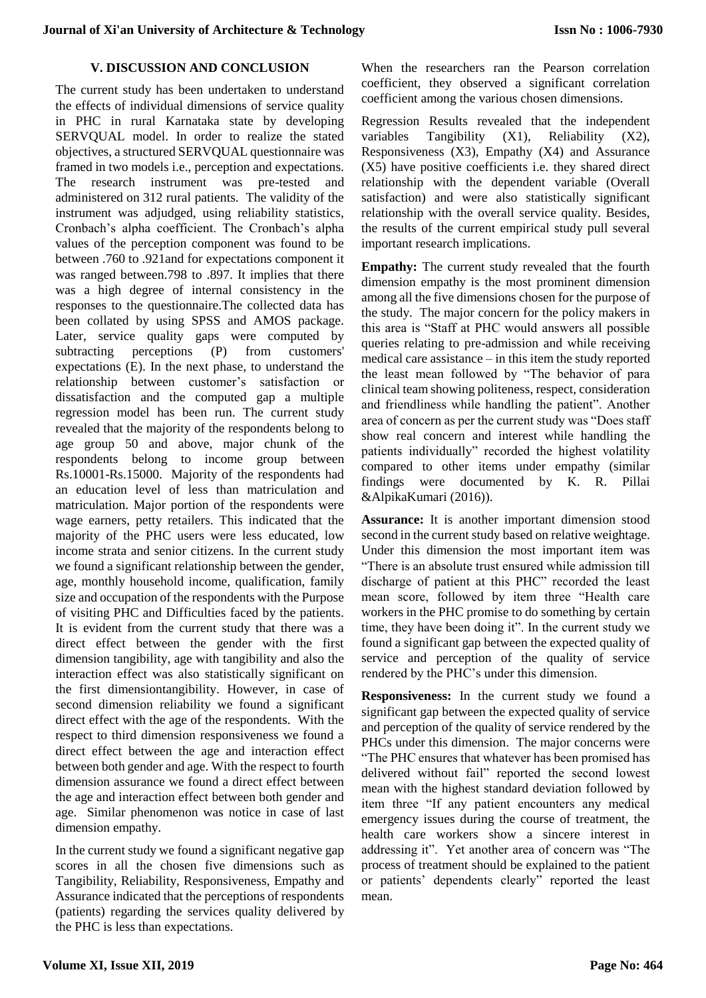## **V. DISCUSSION AND CONCLUSION**

The current study has been undertaken to understand the effects of individual dimensions of service quality in PHC in rural Karnataka state by developing SERVQUAL model. In order to realize the stated objectives, a structured SERVQUAL questionnaire was framed in two models i.e., perception and expectations. The research instrument was pre-tested and administered on 312 rural patients. The validity of the instrument was adjudged, using reliability statistics, Cronbach's alpha coefficient. The Cronbach's alpha values of the perception component was found to be between .760 to .921and for expectations component it was ranged between.798 to .897. It implies that there was a high degree of internal consistency in the responses to the questionnaire.The collected data has been collated by using SPSS and AMOS package. Later, service quality gaps were computed by subtracting perceptions (P) from customers' expectations (E). In the next phase, to understand the relationship between customer's satisfaction or dissatisfaction and the computed gap a multiple regression model has been run. The current study revealed that the majority of the respondents belong to age group 50 and above, major chunk of the respondents belong to income group between Rs.10001-Rs.15000. Majority of the respondents had an education level of less than matriculation and matriculation. Major portion of the respondents were wage earners, petty retailers. This indicated that the majority of the PHC users were less educated, low income strata and senior citizens. In the current study we found a significant relationship between the gender, age, monthly household income, qualification, family size and occupation of the respondents with the Purpose of visiting PHC and Difficulties faced by the patients. It is evident from the current study that there was a direct effect between the gender with the first dimension tangibility, age with tangibility and also the interaction effect was also statistically significant on the first dimensiontangibility. However, in case of second dimension reliability we found a significant direct effect with the age of the respondents. With the respect to third dimension responsiveness we found a direct effect between the age and interaction effect between both gender and age. With the respect to fourth dimension assurance we found a direct effect between the age and interaction effect between both gender and age. Similar phenomenon was notice in case of last dimension empathy.

In the current study we found a significant negative gap scores in all the chosen five dimensions such as Tangibility, Reliability, Responsiveness, Empathy and Assurance indicated that the perceptions of respondents (patients) regarding the services quality delivered by the PHC is less than expectations.

When the researchers ran the Pearson correlation coefficient, they observed a significant correlation coefficient among the various chosen dimensions.

Regression Results revealed that the independent variables Tangibility (X1), Reliability (X2), Responsiveness (X3), Empathy (X4) and Assurance (X5) have positive coefficients i.e. they shared direct relationship with the dependent variable (Overall satisfaction) and were also statistically significant relationship with the overall service quality. Besides, the results of the current empirical study pull several important research implications.

**Empathy:** The current study revealed that the fourth dimension empathy is the most prominent dimension among all the five dimensions chosen for the purpose of the study. The major concern for the policy makers in this area is "Staff at PHC would answers all possible queries relating to pre-admission and while receiving medical care assistance – in this item the study reported the least mean followed by "The behavior of para clinical team showing politeness, respect, consideration and friendliness while handling the patient". Another area of concern as per the current study was "Does staff show real concern and interest while handling the patients individually" recorded the highest volatility compared to other items under empathy (similar findings were documented by K. R. Pillai &AlpikaKumari (2016)).

**Assurance:** It is another important dimension stood second in the current study based on relative weightage. Under this dimension the most important item was "There is an absolute trust ensured while admission till discharge of patient at this PHC" recorded the least mean score, followed by item three "Health care workers in the PHC promise to do something by certain time, they have been doing it". In the current study we found a significant gap between the expected quality of service and perception of the quality of service rendered by the PHC's under this dimension.

**Responsiveness:** In the current study we found a significant gap between the expected quality of service and perception of the quality of service rendered by the PHCs under this dimension. The major concerns were "The PHC ensures that whatever has been promised has delivered without fail" reported the second lowest mean with the highest standard deviation followed by item three "If any patient encounters any medical emergency issues during the course of treatment, the health care workers show a sincere interest in addressing it". Yet another area of concern was "The process of treatment should be explained to the patient or patients' dependents clearly" reported the least mean.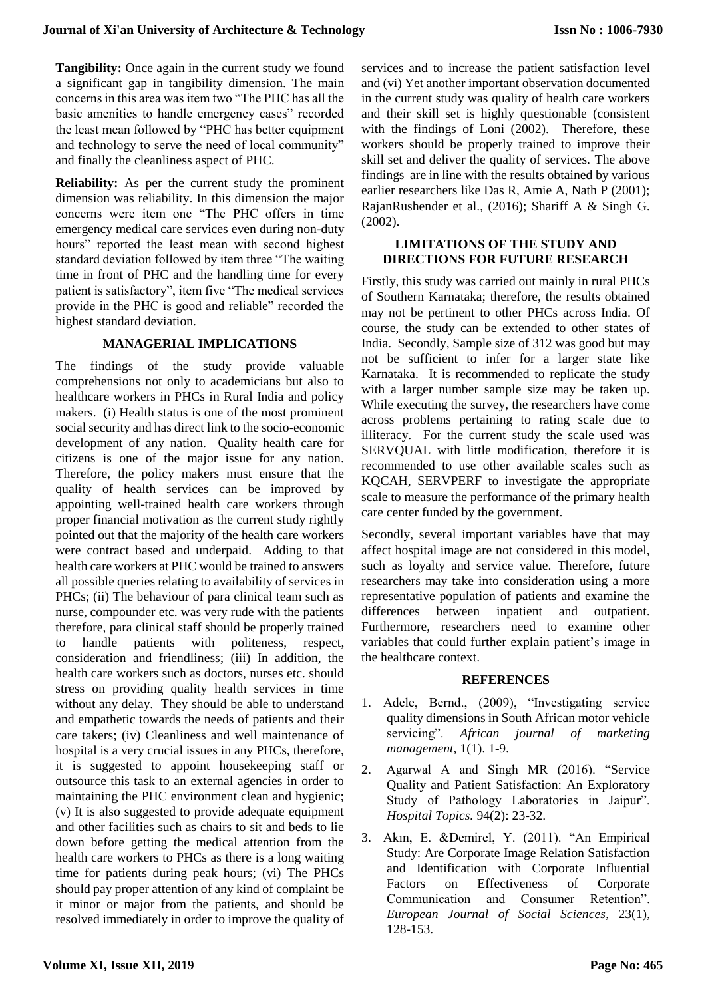**Tangibility:** Once again in the current study we found a significant gap in tangibility dimension. The main concerns in this area was item two "The PHC has all the basic amenities to handle emergency cases" recorded the least mean followed by "PHC has better equipment and technology to serve the need of local community" and finally the cleanliness aspect of PHC.

**Reliability:** As per the current study the prominent dimension was reliability. In this dimension the major concerns were item one "The PHC offers in time emergency medical care services even during non-duty hours" reported the least mean with second highest standard deviation followed by item three "The waiting time in front of PHC and the handling time for every patient is satisfactory", item five "The medical services provide in the PHC is good and reliable" recorded the highest standard deviation.

## **MANAGERIAL IMPLICATIONS**

The findings of the study provide valuable comprehensions not only to academicians but also to healthcare workers in PHCs in Rural India and policy makers. (i) Health status is one of the most prominent social security and has direct link to the socio-economic development of any nation. Quality health care for citizens is one of the major issue for any nation. Therefore, the policy makers must ensure that the quality of health services can be improved by appointing well-trained health care workers through proper financial motivation as the current study rightly pointed out that the majority of the health care workers were contract based and underpaid. Adding to that health care workers at PHC would be trained to answers all possible queries relating to availability of services in PHCs; (ii) The behaviour of para clinical team such as nurse, compounder etc. was very rude with the patients therefore, para clinical staff should be properly trained to handle patients with politeness, respect, consideration and friendliness; (iii) In addition, the health care workers such as doctors, nurses etc. should stress on providing quality health services in time without any delay. They should be able to understand and empathetic towards the needs of patients and their care takers; (iv) Cleanliness and well maintenance of hospital is a very crucial issues in any PHCs, therefore, it is suggested to appoint housekeeping staff or outsource this task to an external agencies in order to maintaining the PHC environment clean and hygienic; (v) It is also suggested to provide adequate equipment and other facilities such as chairs to sit and beds to lie down before getting the medical attention from the health care workers to PHCs as there is a long waiting time for patients during peak hours; (vi) The PHCs should pay proper attention of any kind of complaint be it minor or major from the patients, and should be resolved immediately in order to improve the quality of services and to increase the patient satisfaction level and (vi) Yet another important observation documented in the current study was quality of health care workers and their skill set is highly questionable (consistent with the findings of Loni (2002). Therefore, these workers should be properly trained to improve their skill set and deliver the quality of services. The above findings are in line with the results obtained by various earlier researchers like Das R, Amie A, Nath P (2001); RajanRushender et al., (2016); Shariff A & Singh G. (2002).

## **LIMITATIONS OF THE STUDY AND DIRECTIONS FOR FUTURE RESEARCH**

Firstly, this study was carried out mainly in rural PHCs of Southern Karnataka; therefore, the results obtained may not be pertinent to other PHCs across India. Of course, the study can be extended to other states of India. Secondly, Sample size of 312 was good but may not be sufficient to infer for a larger state like Karnataka. It is recommended to replicate the study with a larger number sample size may be taken up. While executing the survey, the researchers have come across problems pertaining to rating scale due to illiteracy. For the current study the scale used was SERVQUAL with little modification, therefore it is recommended to use other available scales such as KQCAH, SERVPERF to investigate the appropriate scale to measure the performance of the primary health care center funded by the government.

Secondly, several important variables have that may affect hospital image are not considered in this model, such as loyalty and service value. Therefore, future researchers may take into consideration using a more representative population of patients and examine the differences between inpatient and outpatient. Furthermore, researchers need to examine other variables that could further explain patient's image in the healthcare context.

## **REFERENCES**

- 1. Adele, Bernd., (2009), "Investigating service quality dimensions in South African motor vehicle servicing". *African journal of marketing management*, 1(1). 1-9.
- 2. Agarwal A and Singh MR (2016). "Service Quality and Patient Satisfaction: An Exploratory Study of Pathology Laboratories in Jaipur". *Hospital Topics.* 94(2): 23-32.
- 3. Akın, E. &Demirel, Y. (2011). "An Empirical Study: Are Corporate Image Relation Satisfaction and Identification with Corporate Influential Factors on Effectiveness of Corporate Communication and Consumer Retention". *European Journal of Social Sciences*, 23(1), 128-153.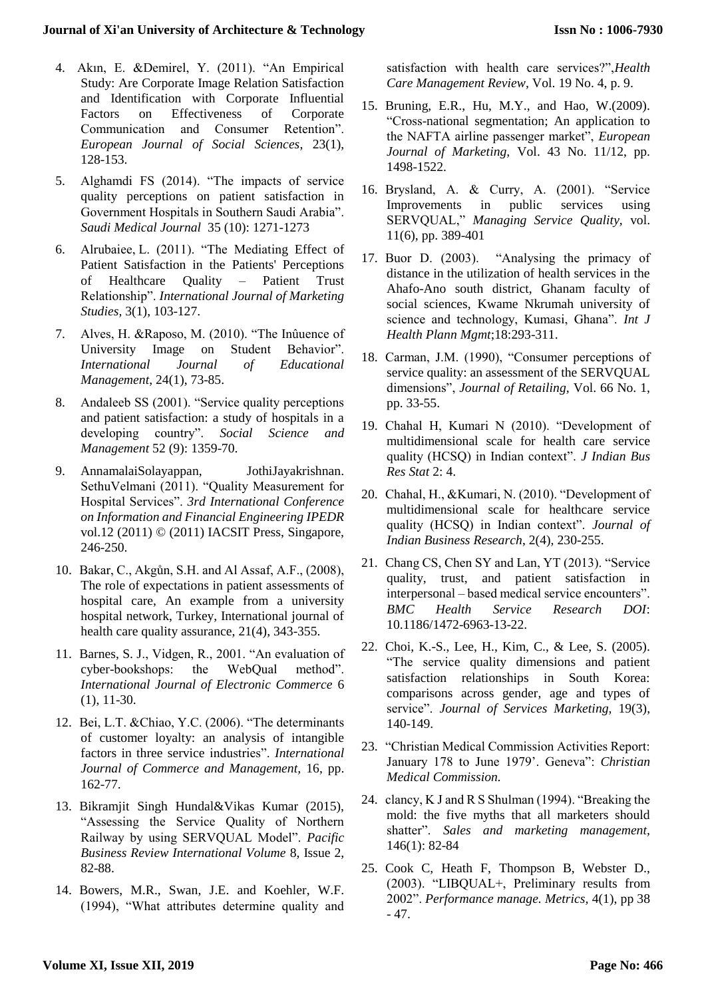- 4. Akın, E. &Demirel, Y. (2011). "An Empirical Study: Are Corporate Image Relation Satisfaction and Identification with Corporate Influential Factors on Effectiveness of Corporate Communication and Consumer Retention". *European Journal of Social Sciences*, 23(1), 128-153.
- 5. Alghamdi FS (2014). "The impacts of service quality perceptions on patient satisfaction in Government Hospitals in Southern Saudi Arabia". *Saudi Medical Journal* 35 (10): 1271-1273
- 6. Alrubaiee, L. (2011). "The Mediating Effect of Patient Satisfaction in the Patients' Perceptions of Healthcare Quality – Patient Trust Relationship". *International Journal of Marketing Studies,* 3(1), 103-127.
- 7. Alves, H. &Raposo, M. (2010). "The Inûuence of University Image on Student Behavior". *International Journal of Educational Management*, 24(1), 73-85.
- 8. Andaleeb SS (2001). "Service quality perceptions and patient satisfaction: a study of hospitals in a developing country". *Social Science and Management* 52 (9): 1359-70.
- 9. AnnamalaiSolayappan, JothiJayakrishnan. SethuVelmani (2011). "Quality Measurement for Hospital Services". *3rd International Conference on Information and Financial Engineering IPEDR*  vol.12 (2011) © (2011) IACSIT Press, Singapore, 246-250.
- 10. Bakar, C., Akgůn, S.H. and Al Assaf, A.F., (2008), The role of expectations in patient assessments of hospital care, An example from a university hospital network, Turkey, International journal of health care quality assurance, 21(4), 343-355.
- 11. Barnes, S. J., Vidgen, R., 2001. "An evaluation of cyber-bookshops: the WebQual method". *International Journal of Electronic Commerce* 6 (1), 11-30.
- 12. Bei, L.T. &Chiao, Y.C. (2006). "The determinants of customer loyalty: an analysis of intangible factors in three service industries". *International Journal of Commerce and Management,* 16, pp. 162-77.
- 13. Bikramjit Singh Hundal&Vikas Kumar (2015), "Assessing the Service Quality of Northern Railway by using SERVQUAL Model". *Pacific Business Review International Volume* 8, Issue 2, 82-88.
- 14. Bowers, M.R., Swan, J.E. and Koehler, W.F. (1994), "What attributes determine quality and

satisfaction with health care services?",*Health Care Management Review,* Vol. 19 No. 4, p. 9.

- 15. Bruning, E.R., Hu, M.Y., and Hao, W.(2009). "Cross-national segmentation; An application to the NAFTA airline passenger market", *European Journal of Marketing,* Vol. 43 No. 11/12, pp. 1498-1522.
- 16. Brysland, A. & Curry, A. (2001). "Service Improvements in public services using SERVQUAL," *Managing Service Quality,* vol. 11(6), pp. 389-401
- 17. Buor D. (2003). "Analysing the primacy of distance in the utilization of health services in the Ahafo-Ano south district, Ghanam faculty of social sciences, Kwame Nkrumah university of science and technology, Kumasi, Ghana". *Int J Health Plann Mgmt*;18:293-311.
- 18. Carman, J.M. (1990), "Consumer perceptions of service quality: an assessment of the SERVQUAL dimensions", *Journal of Retailing,* Vol. 66 No. 1, pp. 33-55.
- 19. Chahal H, Kumari N (2010). "Development of multidimensional scale for health care service quality (HCSQ) in Indian context". *J Indian Bus Res Stat* 2: 4.
- 20. Chahal, H., &Kumari, N. (2010). "Development of multidimensional scale for healthcare service quality (HCSQ) in Indian context". *Journal of Indian Business Research*, 2(4), 230-255.
- 21. Chang CS, Chen SY and Lan, YT (2013). "Service quality, trust, and patient satisfaction in interpersonal – based medical service encounters". *BMC Health Service Research DOI*: 10.1186/1472-6963-13-22.
- 22. Choi, K.-S., Lee, H., Kim, C., & Lee, S. (2005). "The service quality dimensions and patient satisfaction relationships in South Korea: comparisons across gender, age and types of service". *Journal of Services Marketing,* 19(3), 140-149.
- 23. "Christian Medical Commission Activities Report: January 178 to June 1979'. Geneva": *Christian Medical Commission.*
- 24. clancy, K J and R S Shulman (1994). "Breaking the mold: the five myths that all marketers should shatter". *Sales and marketing management,* 146(1): 82-84
- 25. Cook C, Heath F, Thompson B, Webster D., (2003). "LIBQUAL+, Preliminary results from 2002". *Performance manage. Metrics,* 4(1), pp 38 - 47.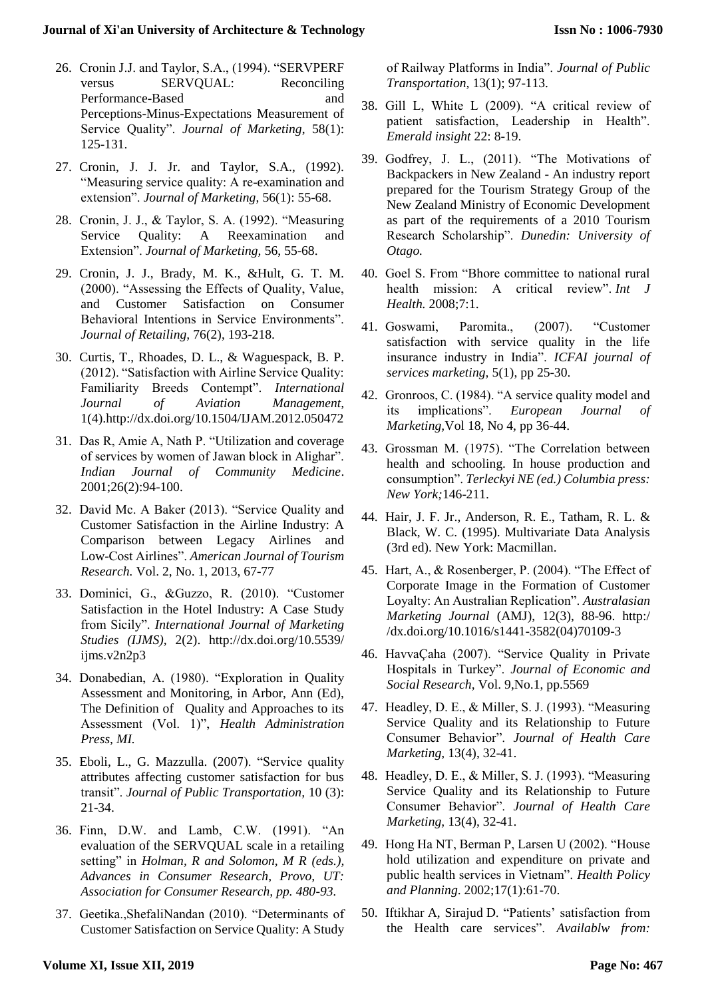- 26. Cronin J.J. and Taylor, S.A., (1994). "SERVPERF versus SERVQUAL: Reconciling Performance-Based and and Perceptions-Minus-Expectations Measurement of Service Quality". *Journal of Marketing*, 58(1): 125-131.
- 27. Cronin, J. J. Jr. and Taylor, S.A., (1992). "Measuring service quality: A re-examination and extension". *Journal of Marketing*, 56(1): 55-68.
- 28. Cronin, J. J., & Taylor, S. A. (1992). "Measuring Service Quality: A Reexamination and Extension". *Journal of Marketing,* 56, 55-68.
- 29. Cronin, J. J., Brady, M. K., &Hult, G. T. M. (2000). "Assessing the Effects of Quality, Value, and Customer Satisfaction on Consumer Behavioral Intentions in Service Environments". *Journal of Retailing,* 76(2), 193-218.
- 30. Curtis, T., Rhoades, D. L., & Waguespack, B. P. (2012). "Satisfaction with Airline Service Quality: Familiarity Breeds Contempt". *International Journal of Aviation Management,*  1(4).http://dx.doi.org/10.1504/IJAM.2012.050472
- 31. Das R, Amie A, Nath P. "Utilization and coverage of services by women of Jawan block in Alighar". *Indian Journal of Community Medicine*. 2001;26(2):94-100.
- 32. David Mc. A Baker (2013). "Service Quality and Customer Satisfaction in the Airline Industry: A Comparison between Legacy Airlines and Low-Cost Airlines". *American Journal of Tourism Research.* Vol. 2, No. 1, 2013, 67-77
- 33. Dominici, G., &Guzzo, R. (2010). "Customer Satisfaction in the Hotel Industry: A Case Study from Sicily". *International Journal of Marketing Studies (IJMS),* 2(2). http://dx.doi.org/10.5539/ ijms.v2n2p3
- 34. Donabedian, A. (1980). "Exploration in Quality Assessment and Monitoring, in Arbor, Ann (Ed), The Definition of Ouality and Approaches to its Assessment (Vol. 1)", *Health Administration Press, MI.*
- 35. Eboli, L., G. Mazzulla. (2007). "Service quality attributes affecting customer satisfaction for bus transit". *Journal of Public Transportation,* 10 (3): 21-34.
- 36. Finn, D.W. and Lamb, C.W. (1991). "An evaluation of the SERVQUAL scale in a retailing setting" in *Holman, R and Solomon, M R (eds.), Advances in Consumer Research, Provo, UT: Association for Consumer Research, pp. 480-93.*
- 37. Geetika.,ShefaliNandan (2010). "Determinants of Customer Satisfaction on Service Quality: A Study

of Railway Platforms in India". *Journal of Public Transportation,* 13(1); 97-113.

- 38. Gill L, White L (2009). "A critical review of patient satisfaction, Leadership in Health". *Emerald insight* 22: 8-19.
- 39. Godfrey, J. L., (2011). "The Motivations of Backpackers in New Zealand - An industry report prepared for the Tourism Strategy Group of the New Zealand Ministry of Economic Development as part of the requirements of a 2010 Tourism Research Scholarship". *Dunedin: University of Otago.*
- 40. Goel S. From "Bhore committee to national rural health mission: A critical review". *Int J Health.* 2008;7:1.
- 41. Goswami, Paromita., (2007). "Customer satisfaction with service quality in the life insurance industry in India". *ICFAI journal of services marketing,* 5(1), pp 25-30.
- 42. Gronroos, C. (1984). "A service quality model and its implications". *European Journal of Marketing,*Vol 18, No 4, pp 36-44.
- 43. Grossman M. (1975). "The Correlation between health and schooling. In house production and consumption". *Terleckyi NE (ed.) Columbia press: New York;*146-211.
- 44. Hair, J. F. Jr., Anderson, R. E., Tatham, R. L. & Black, W. C. (1995). Multivariate Data Analysis (3rd ed). New York: Macmillan.
- 45. Hart, A., & Rosenberger, P. (2004). "The Effect of Corporate Image in the Formation of Customer Loyalty: An Australian Replication". *Australasian Marketing Journal* (AMJ), 12(3), 88-96. http:/ /dx.doi.org/10.1016/s1441-3582(04)70109-3
- 46. HavvaÇaha (2007). "Service Quality in Private Hospitals in Turkey". *Journal of Economic and Social Research,* Vol. 9,No.1, pp.5569
- 47. Headley, D. E., & Miller, S. J. (1993). "Measuring Service Quality and its Relationship to Future Consumer Behavior". *Journal of Health Care Marketing,* 13(4), 32-41.
- 48. Headley, D. E., & Miller, S. J. (1993). "Measuring Service Quality and its Relationship to Future Consumer Behavior". *Journal of Health Care Marketing,* 13(4), 32-41.
- 49. Hong Ha NT, Berman P, Larsen U (2002). "House hold utilization and expenditure on private and public health services in Vietnam". *Health Policy and Planning*. 2002;17(1):61-70.
- 50. Iftikhar A, Sirajud D. "Patients' satisfaction from the Health care services". *Availablw from:*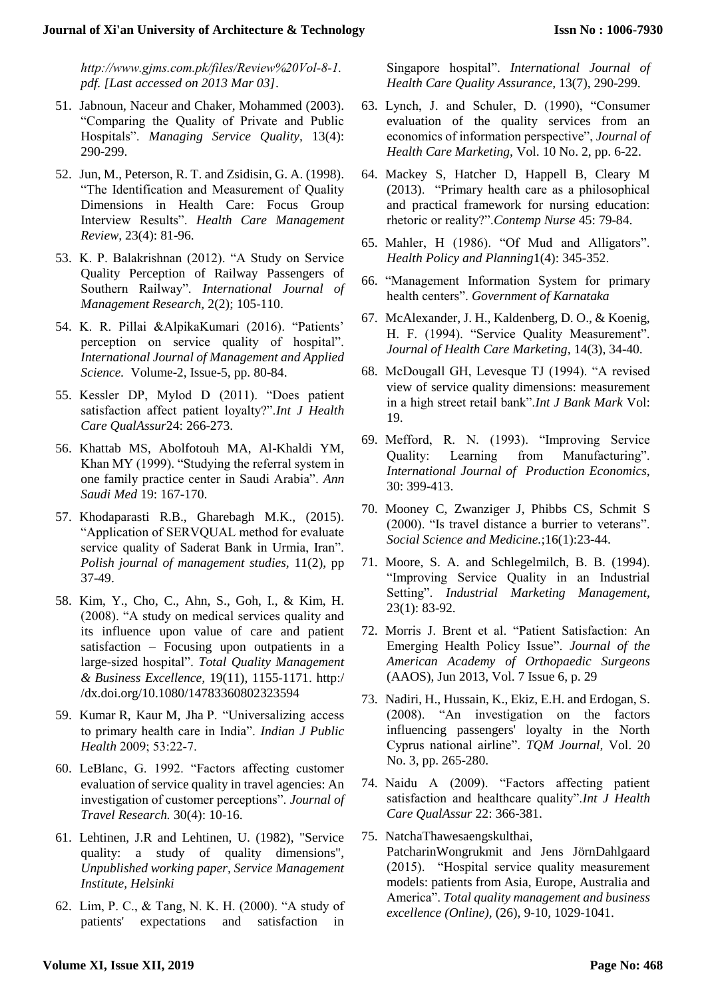*http://www.gjms.com.pk/files/Review%20Vol‑8‑1. pdf. [Last accessed on 2013 Mar 03]*.

- 51. Jabnoun, Naceur and Chaker, Mohammed (2003). "Comparing the Quality of Private and Public Hospitals". *Managing Service Quality,* 13(4): 290-299.
- 52. Jun, M., Peterson, R. T. and Zsidisin, G. A. (1998). "The Identification and Measurement of Quality Dimensions in Health Care: Focus Group Interview Results". *Health Care Management Review,* 23(4): 81-96.
- 53. K. P. Balakrishnan (2012). "A Study on Service Quality Perception of Railway Passengers of Southern Railway". *International Journal of Management Research,* 2(2); 105-110.
- 54. K. R. Pillai &AlpikaKumari (2016). "Patients' perception on service quality of hospital". *International Journal of Management and Applied Science.* Volume-2, Issue-5, pp. 80-84.
- 55. Kessler DP, Mylod D (2011). "Does patient satisfaction affect patient loyalty?".*Int J Health Care QualAssur*24: 266-273.
- 56. Khattab MS, Abolfotouh MA, Al-Khaldi YM, Khan MY (1999). "Studying the referral system in one family practice center in Saudi Arabia". *Ann Saudi Med* 19: 167-170.
- 57. Khodaparasti R.B., Gharebagh M.K., (2015). "Application of SERVQUAL method for evaluate service quality of Saderat Bank in Urmia, Iran". *Polish journal of management studies,* 11(2), pp 37-49.
- 58. Kim, Y., Cho, C., Ahn, S., Goh, I., & Kim, H. (2008). "A study on medical services quality and its influence upon value of care and patient satisfaction – Focusing upon outpatients in a large-sized hospital". *Total Quality Management & Business Excellence,* 19(11), 1155-1171. http:/ /dx.doi.org/10.1080/14783360802323594
- 59. Kumar R, Kaur M, Jha P. "Universalizing access to primary health care in India". *Indian J Public Health* 2009; 53:22‑7.
- 60. LeBlanc, G. 1992. "Factors affecting customer evaluation of service quality in travel agencies: An investigation of customer perceptions". *Journal of Travel Research.* 30(4): 10-16.
- 61. Lehtinen, J.R and Lehtinen, U. (1982), "Service quality: a study of quality dimensions", *Unpublished working paper, Service Management Institute, Helsinki*
- 62. Lim, P. C., & Tang, N. K. H. (2000). "A study of patients' expectations and satisfaction in

Singapore hospital". *International Journal of Health Care Quality Assurance,* 13(7), 290-299.

- 63. Lynch, J. and Schuler, D. (1990), "Consumer evaluation of the quality services from an economics of information perspective", *Journal of Health Care Marketing,* Vol. 10 No. 2, pp. 6-22.
- 64. Mackey S, Hatcher D, Happell B, Cleary M (2013). "Primary health care as a philosophical and practical framework for nursing education: rhetoric or reality?".*Contemp Nurse* 45: 79-84.
- 65. Mahler, H (1986). "Of Mud and Alligators". *Health Policy and Planning*1(4): 345-352.
- 66. "Management Information System for primary health centers". *Government of Karnataka*
- 67. McAlexander, J. H., Kaldenberg, D. O., & Koenig, H. F. (1994). "Service Quality Measurement". *Journal of Health Care Marketing,* 14(3), 34-40.
- 68. McDougall GH, Levesque TJ (1994). "A revised view of service quality dimensions: measurement in a high street retail bank".*Int J Bank Mark* Vol: 19.
- 69. Mefford, R. N. (1993). "Improving Service Quality: Learning from Manufacturing". *International Journal of Production Economics,* 30: 399-413.
- 70. Mooney C, Zwanziger J, Phibbs CS, Schmit S (2000). "Is travel distance a burrier to veterans". *Social Science and Medicine.*;16(1):23-44.
- 71. Moore, S. A. and Schlegelmilch, B. B. (1994). "Improving Service Quality in an Industrial Setting". *Industrial Marketing Management,* 23(1): 83-92.
- 72. Morris J. Brent et al. "Patient Satisfaction: An Emerging Health Policy Issue". *Journal of the American Academy of Orthopaedic Surgeons*  (AAOS), Jun 2013, Vol. 7 Issue 6, p. 29
- 73. Nadiri, H., Hussain, K., Ekiz, E.H. and Erdogan, S. (2008). "An investigation on the factors influencing passengers' loyalty in the North Cyprus national airline". *TQM Journal,* Vol. 20 No. 3, pp. 265-280.
- 74. Naidu A (2009). "Factors affecting patient satisfaction and healthcare quality".*Int J Health Care QualAssur* 22: 366-381.
- 75. NatchaThawesaengskulthai, PatcharinWongrukmit and Jens JörnDahlgaard (2015). "Hospital service quality measurement models: patients from Asia, Europe, Australia and America". *Total quality management and business excellence (Online),* (26), 9-10, 1029-1041.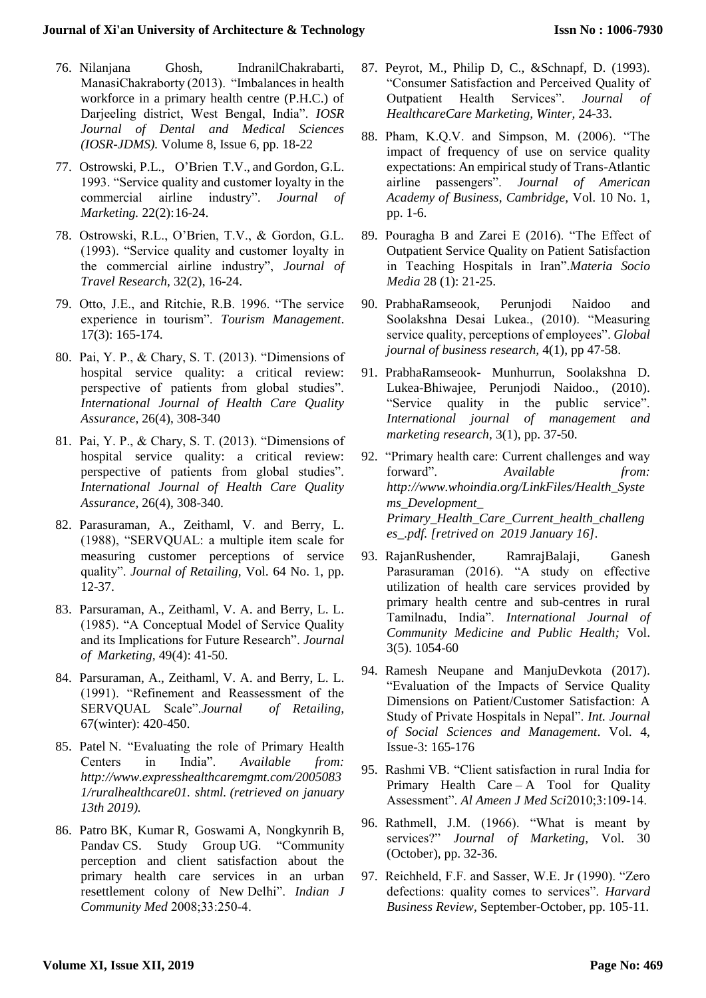- 76. Nilanjana Ghosh, IndranilChakrabarti, ManasiChakraborty (2013). "Imbalances in health workforce in a primary health centre (P.H.C.) of Darjeeling district, West Bengal, India". *IOSR Journal of Dental and Medical Sciences (IOSR-JDMS).* Volume 8, Issue 6, pp. 18-22
- 77. Ostrowski, P.L., O'Brien T.V., and Gordon, G.L. 1993. "Service quality and customer loyalty in the commercial airline industry". *Journal of Marketing.* 22(2):16-24.
- 78. Ostrowski, R.L., O'Brien, T.V., & Gordon, G.L. (1993). "Service quality and customer loyalty in the commercial airline industry", *Journal of Travel Research,* 32(2), 16-24.
- 79. Otto, J.E., and Ritchie, R.B. 1996. "The service experience in tourism". *Tourism Management*. 17(3): 165-174.
- 80. Pai, Y. P., & Chary, S. T. (2013). "Dimensions of hospital service quality: a critical review: perspective of patients from global studies". *International Journal of Health Care Quality Assurance,* 26(4), 308-340
- 81. Pai, Y. P., & Chary, S. T. (2013). "Dimensions of hospital service quality: a critical review: perspective of patients from global studies". *International Journal of Health Care Quality Assurance,* 26(4), 308-340.
- 82. Parasuraman, A., Zeithaml, V. and Berry, L. (1988), "SERVQUAL: a multiple item scale for measuring customer perceptions of service quality". *Journal of Retailing,* Vol. 64 No. 1, pp. 12-37.
- 83. Parsuraman, A., Zeithaml, V. A. and Berry, L. L. (1985). "A Conceptual Model of Service Quality and its Implications for Future Research". *Journal of Marketing,* 49(4): 41-50.
- 84. Parsuraman, A., Zeithaml, V. A. and Berry, L. L. (1991). "Refinement and Reassessment of the SERVQUAL Scale".*Journal of Retailing,*  67(winter): 420-450.
- 85. Patel N. "Evaluating the role of Primary Health Centers in India". *Available from: http://www.expresshealthcaremgmt.com/2005083 1/ruralhealthcare01. shtml. (retrieved on january 13th 2019).*
- 86. Patro BK, Kumar R, Goswami A, Nongkynrih B, Pandav CS. Study Group UG. "Community perception and client satisfaction about the primary health care services in an urban resettlement colony of New Delhi". *Indian J Community Med* 2008;33:250‑4.
- 87. Peyrot, M., Philip D, C., &Schnapf, D. (1993). "Consumer Satisfaction and Perceived Quality of Outpatient Health Services". *Journal of HealthcareCare Marketing, Winter,* 24-33.
- 88. Pham, K.Q.V. and Simpson, M. (2006). "The impact of frequency of use on service quality expectations: An empirical study of Trans-Atlantic airline passengers". *Journal of American Academy of Business, Cambridge,* Vol. 10 No. 1, pp. 1-6.
- 89. Pouragha B and Zarei E (2016). "The Effect of Outpatient Service Quality on Patient Satisfaction in Teaching Hospitals in Iran".*Materia Socio Media* 28 (1): 21-25.
- 90. PrabhaRamseook, Perunjodi Naidoo and Soolakshna Desai Lukea., (2010). "Measuring service quality, perceptions of employees". *Global journal of business research,* 4(1), pp 47-58.
- 91. PrabhaRamseook- Munhurrun, Soolakshna D. Lukea-Bhiwajee, Perunjodi Naidoo., (2010). "Service quality in the public service". *International journal of management and marketing research,* 3(1), pp. 37-50.
- 92. "Primary health care: Current challenges and way forward". *Available from: http://www.whoindia.org/LinkFiles/Health\_Syste ms\_Development\_ Primary\_Health\_Care\_Current\_health\_challeng es\_.pdf. [retrived on 2019 January 16].*
- 93. RajanRushender, RamrajBalaji, Ganesh Parasuraman (2016). "A study on effective utilization of health care services provided by primary health centre and sub-centres in rural Tamilnadu, India". *International Journal of Community Medicine and Public Health;* Vol. 3(5). 1054-60
- 94. Ramesh Neupane and ManjuDevkota (2017). "Evaluation of the Impacts of Service Quality Dimensions on Patient/Customer Satisfaction: A Study of Private Hospitals in Nepal". *Int. Journal of Social Sciences and Management*. Vol. 4, Issue-3: 165-176
- 95. Rashmi VB. "Client satisfaction in rural India for Primary Health Care – A Tool for Quality Assessment". *Al Ameen J Med Sci2010*;3:109-14.
- 96. Rathmell, J.M. (1966). "What is meant by services?" *Journal of Marketing,* Vol. 30 (October), pp. 32-36.
- 97. Reichheld, F.F. and Sasser, W.E. Jr (1990). "Zero defections: quality comes to services". *Harvard Business Review,* September-October, pp. 105-11.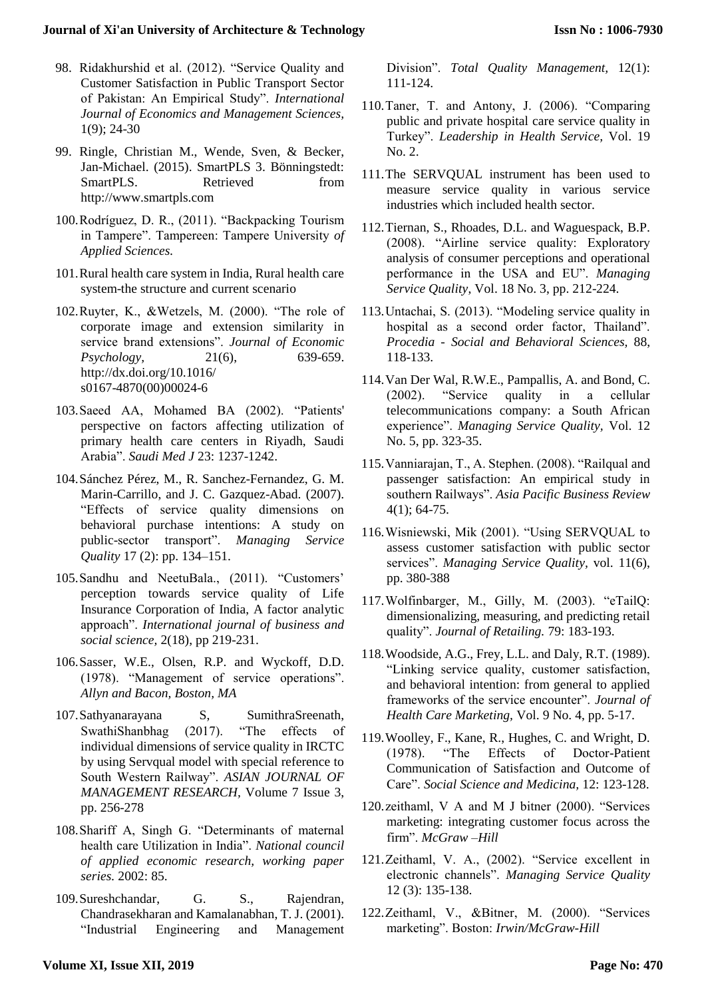- 98. Ridakhurshid et al. (2012). "Service Quality and Customer Satisfaction in Public Transport Sector of Pakistan: An Empirical Study". *International Journal of Economics and Management Sciences,* 1(9); 24-30
- 99. Ringle, Christian M., Wende, Sven, & Becker, Jan-Michael. (2015). SmartPLS 3. Bönningstedt: SmartPLS. Retrieved from http://www.smartpls.com
- 100.Rodríguez, D. R., (2011). "Backpacking Tourism in Tampere". Tampereen: Tampere University *of Applied Sciences.*
- 101.Rural health care system in India, Rural health care system-the structure and current scenario
- 102.Ruyter, K., &Wetzels, M. (2000). "The role of corporate image and extension similarity in service brand extensions". *Journal of Economic Psychology,* 21(6), 639-659. http://dx.doi.org/10.1016/ s0167-4870(00)00024-6
- 103.Saeed AA, Mohamed BA (2002). "Patients' perspective on factors affecting utilization of primary health care centers in Riyadh, Saudi Arabia". *Saudi Med J* 23: 1237-1242.
- 104.Sánchez Pérez, M., R. Sanchez-Fernandez, G. M. Marin-Carrillo, and J. C. Gazquez-Abad. (2007). "Effects of service quality dimensions on behavioral purchase intentions: A study on public-sector transport". *Managing Service Quality* 17 (2): pp. 134–151.
- 105.Sandhu and NeetuBala., (2011). "Customers' perception towards service quality of Life Insurance Corporation of India, A factor analytic approach". *International journal of business and social science,* 2(18), pp 219-231.
- 106.Sasser, W.E., Olsen, R.P. and Wyckoff, D.D. (1978). "Management of service operations". *Allyn and Bacon, Boston, MA*
- 107.Sathyanarayana S, SumithraSreenath, SwathiShanbhag (2017). "The effects of individual dimensions of service quality in IRCTC by using Servqual model with special reference to South Western Railway". *ASIAN JOURNAL OF MANAGEMENT RESEARCH,* Volume 7 Issue 3, pp. 256-278
- 108.Shariff A, Singh G. "Determinants of maternal health care Utilization in India". *National council of applied economic research, working paper series.* 2002: 85.
- 109.Sureshchandar, G. S., Rajendran, Chandrasekharan and Kamalanabhan, T. J. (2001). "Industrial Engineering and Management

Division". *Total Quality Management,* 12(1): 111-124.

- 110.Taner, T. and Antony, J. (2006). "Comparing public and private hospital care service quality in Turkey". *Leadership in Health Service,* Vol. 19 No. 2.
- 111.The SERVQUAL instrument has been used to measure service quality in various service industries which included health sector.
- 112.Tiernan, S., Rhoades, D.L. and Waguespack, B.P. (2008). "Airline service quality: Exploratory analysis of consumer perceptions and operational performance in the USA and EU". *Managing Service Quality*, Vol. 18 No. 3, pp. 212-224.
- 113.Untachai, S. (2013). "Modeling service quality in hospital as a second order factor, Thailand". *Procedia - Social and Behavioral Sciences,* 88, 118-133.
- 114.Van Der Wal, R.W.E., Pampallis, A. and Bond, C. (2002). "Service quality in a cellular telecommunications company: a South African experience". *Managing Service Quality,* Vol. 12 No. 5, pp. 323-35.
- 115.Vanniarajan, T., A. Stephen. (2008). "Railqual and passenger satisfaction: An empirical study in southern Railways". *Asia Pacific Business Review*  4(1); 64-75.
- 116.Wisniewski, Mik (2001). "Using SERVQUAL to assess customer satisfaction with public sector services". *Managing Service Quality,* vol. 11(6), pp. 380-388
- 117.Wolfinbarger, M., Gilly, M. (2003). "eTailQ: dimensionalizing, measuring, and predicting retail quality". *Journal of Retailing.* 79: 183-193.
- 118.Woodside, A.G., Frey, L.L. and Daly, R.T. (1989). "Linking service quality, customer satisfaction, and behavioral intention: from general to applied frameworks of the service encounter". *Journal of Health Care Marketing,* Vol. 9 No. 4, pp. 5-17.
- 119.Woolley, F., Kane, R., Hughes, C. and Wright, D. (1978). "The Effects of Doctor-Patient Communication of Satisfaction and Outcome of Care". *Social Science and Medicina,* 12: 123-128.
- 120.zeithaml, V A and M J bitner (2000). "Services marketing: integrating customer focus across the firm". *McGraw –Hill*
- 121.Zeithaml, V. A., (2002). "Service excellent in electronic channels". *Managing Service Quality* 12 (3): 135-138.
- 122.Zeithaml, V., &Bitner, M. (2000). "Services marketing". Boston: *Irwin/McGraw-Hill*